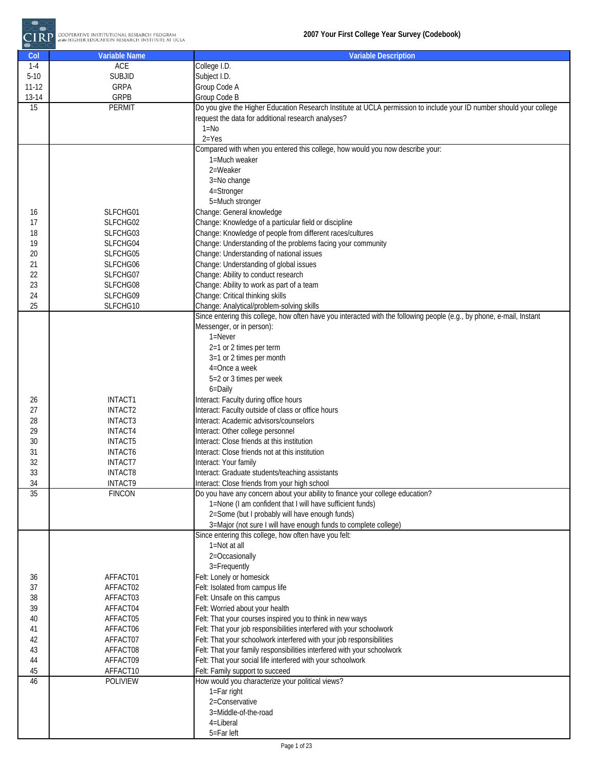

| Col             | <b>Variable Name</b>     | <b>Variable Description</b>                                                                                                    |
|-----------------|--------------------------|--------------------------------------------------------------------------------------------------------------------------------|
| $1-4$           | <b>ACE</b>               | College I.D.                                                                                                                   |
| $5 - 10$        | <b>SUBJID</b>            | Subject I.D.                                                                                                                   |
| $11 - 12$       | <b>GRPA</b>              | Group Code A                                                                                                                   |
| 13-14           | GRPB                     | Group Code B                                                                                                                   |
| 15              | <b>PERMIT</b>            | Do you give the Higher Education Research Institute at UCLA permission to include your ID number should your college           |
|                 |                          | request the data for additional research analyses?                                                                             |
|                 |                          | $1 = No$                                                                                                                       |
|                 |                          | $2 = Yes$                                                                                                                      |
|                 |                          | Compared with when you entered this college, how would you now describe your:                                                  |
|                 |                          | 1=Much weaker                                                                                                                  |
|                 |                          | 2=Weaker                                                                                                                       |
|                 |                          | 3=No change                                                                                                                    |
|                 |                          | 4=Stronger                                                                                                                     |
|                 |                          | 5=Much stronger                                                                                                                |
| 16              | SLFCHG01                 | Change: General knowledge                                                                                                      |
| 17              | SLFCHG02                 | Change: Knowledge of a particular field or discipline                                                                          |
| 18              | SLFCHG03                 | Change: Knowledge of people from different races/cultures                                                                      |
| 19              | SLFCHG04<br>SLFCHG05     | Change: Understanding of the problems facing your community<br>Change: Understanding of national issues                        |
| 20<br>21        | SLFCHG06                 |                                                                                                                                |
| 22              | SLFCHG07                 | Change: Understanding of global issues<br>Change: Ability to conduct research                                                  |
| 23              | SLFCHG08                 | Change: Ability to work as part of a team                                                                                      |
| 24              | SLFCHG09                 | Change: Critical thinking skills                                                                                               |
| 25              | SLFCHG10                 | Change: Analytical/problem-solving skills                                                                                      |
|                 |                          | Since entering this college, how often have you interacted with the following people (e.g., by phone, e-mail, Instant          |
|                 |                          | Messenger, or in person):                                                                                                      |
|                 |                          | $1 =$ Never                                                                                                                    |
|                 |                          | 2=1 or 2 times per term                                                                                                        |
|                 |                          | 3=1 or 2 times per month                                                                                                       |
|                 |                          | 4=Once a week                                                                                                                  |
|                 |                          | 5=2 or 3 times per week                                                                                                        |
|                 |                          | 6=Daily                                                                                                                        |
| 26              | <b>INTACT1</b>           | Interact: Faculty during office hours                                                                                          |
| 27              | INTACT2                  | Interact: Faculty outside of class or office hours                                                                             |
| 28              | INTACT3                  | Interact: Academic advisors/counselors                                                                                         |
| 29              | <b>INTACT4</b>           | Interact: Other college personnel                                                                                              |
| 30              | <b>INTACT5</b>           | Interact: Close friends at this institution                                                                                    |
| 31              | <b>INTACT6</b>           | Interact: Close friends not at this institution                                                                                |
| 32              | <b>INTACT7</b>           | Interact: Your family                                                                                                          |
| 33<br>34        | <b>INTACT8</b>           | Interact: Graduate students/teaching assistants                                                                                |
| $\overline{35}$ | INTACT9<br><b>FINCON</b> | Interact: Close friends from your high school<br>Do you have any concern about your ability to finance your college education? |
|                 |                          | 1=None (I am confident that I will have sufficient funds)                                                                      |
|                 |                          | 2=Some (but I probably will have enough funds)                                                                                 |
|                 |                          | 3=Major (not sure I will have enough funds to complete college)                                                                |
|                 |                          | Since entering this college, how often have you felt:                                                                          |
|                 |                          | 1=Not at all                                                                                                                   |
|                 |                          | 2=Occasionally                                                                                                                 |
|                 |                          | 3=Frequently                                                                                                                   |
| 36              | AFFACT01                 | Felt: Lonely or homesick                                                                                                       |
| 37              | AFFACT02                 | Felt: Isolated from campus life                                                                                                |
| 38              | AFFACT03                 | Felt: Unsafe on this campus                                                                                                    |
| 39              | AFFACT04                 | Felt: Worried about your health                                                                                                |
| 40              | AFFACT05                 | Felt: That your courses inspired you to think in new ways                                                                      |
| 41              | AFFACT06                 | Felt: That your job responsibilities interfered with your schoolwork                                                           |
| 42              | AFFACT07                 | Felt: That your schoolwork interfered with your job responsibilities                                                           |
| 43              | AFFACT08                 | Felt: That your family responsibilities interfered with your schoolwork                                                        |
| 44              | AFFACT09                 | Felt: That your social life interfered with your schoolwork                                                                    |
| 45              | AFFACT10                 | Felt: Family support to succeed                                                                                                |
| 46              | POLIVIEW                 | How would you characterize your political views?<br>1=Far right                                                                |
|                 |                          | 2=Conservative                                                                                                                 |
|                 |                          | 3=Middle-of-the-road                                                                                                           |
|                 |                          | 4=Liberal                                                                                                                      |
|                 |                          | 5=Far left                                                                                                                     |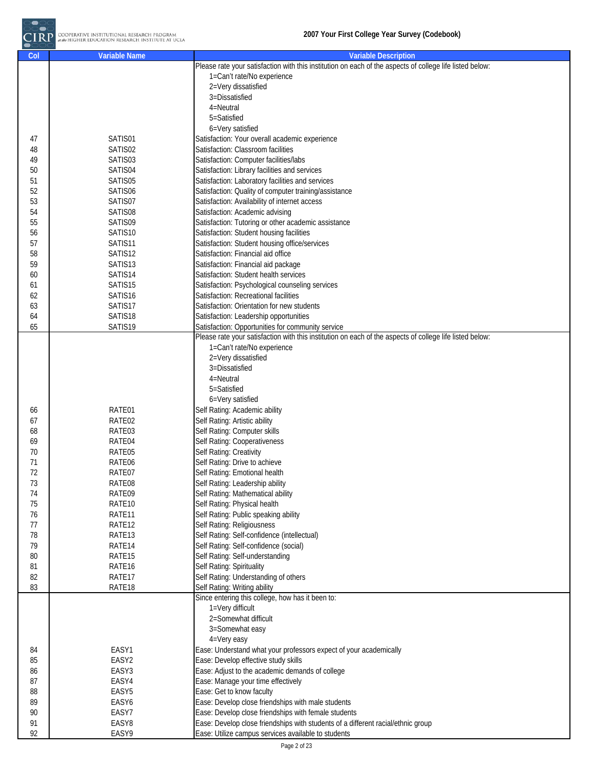

| Col | <b>Variable Name</b> | <b>Variable Description</b>                                                                              |
|-----|----------------------|----------------------------------------------------------------------------------------------------------|
|     |                      | Please rate your satisfaction with this institution on each of the aspects of college life listed below: |
|     |                      | 1=Can't rate/No experience                                                                               |
|     |                      | 2=Very dissatisfied                                                                                      |
|     |                      | 3=Dissatisfied                                                                                           |
|     |                      | 4=Neutral                                                                                                |
|     |                      | 5=Satisfied                                                                                              |
|     |                      | 6=Very satisfied                                                                                         |
| 47  | SATIS01              | Satisfaction: Your overall academic experience                                                           |
| 48  | SATIS02              | Satisfaction: Classroom facilities                                                                       |
|     | SATIS03              |                                                                                                          |
| 49  |                      | Satisfaction: Computer facilities/labs                                                                   |
| 50  | SATIS04              | Satisfaction: Library facilities and services                                                            |
| 51  | SATIS05              | Satisfaction: Laboratory facilities and services                                                         |
| 52  | SATIS06              | Satisfaction: Quality of computer training/assistance                                                    |
| 53  | SATIS07              | Satisfaction: Availability of internet access                                                            |
| 54  | SATIS08              | Satisfaction: Academic advising                                                                          |
| 55  | SATIS09              | Satisfaction: Tutoring or other academic assistance                                                      |
| 56  | SATIS10              | Satisfaction: Student housing facilities                                                                 |
| 57  | SATIS11              | Satisfaction: Student housing office/services                                                            |
| 58  | SATIS12              | Satisfaction: Financial aid office                                                                       |
| 59  | SATIS13              | Satisfaction: Financial aid package                                                                      |
| 60  | SATIS14              | Satisfaction: Student health services                                                                    |
| 61  | SATIS15              | Satisfaction: Psychological counseling services                                                          |
| 62  | SATIS16              | Satisfaction: Recreational facilities                                                                    |
| 63  | SATIS17              | Satisfaction: Orientation for new students                                                               |
| 64  | SATIS18              | Satisfaction: Leadership opportunities                                                                   |
| 65  | SATIS19              | Satisfaction: Opportunities for community service                                                        |
|     |                      | Please rate your satisfaction with this institution on each of the aspects of college life listed below: |
|     |                      | 1=Can't rate/No experience                                                                               |
|     |                      | 2=Very dissatisfied                                                                                      |
|     |                      |                                                                                                          |
|     |                      | 3=Dissatisfied                                                                                           |
|     |                      | 4=Neutral                                                                                                |
|     |                      | 5=Satisfied                                                                                              |
|     |                      | 6=Very satisfied                                                                                         |
| 66  | RATE01               | Self Rating: Academic ability                                                                            |
| 67  | RATE02               | Self Rating: Artistic ability                                                                            |
| 68  | RATE03               | Self Rating: Computer skills                                                                             |
| 69  | RATE04               | Self Rating: Cooperativeness                                                                             |
| 70  | RATE05               | Self Rating: Creativity                                                                                  |
| 71  | RATE06               | Self Rating: Drive to achieve                                                                            |
| 72  | RATE07               | Self Rating: Emotional health                                                                            |
| 73  | RATE08               | Self Rating: Leadership ability                                                                          |
| 74  | RATE09               | Self Rating: Mathematical ability                                                                        |
| 75  | RATE <sub>10</sub>   | Self Rating: Physical health                                                                             |
| 76  | RATE11               | Self Rating: Public speaking ability                                                                     |
| 77  | RATE <sub>12</sub>   | Self Rating: Religiousness                                                                               |
| 78  | RATE13               | Self Rating: Self-confidence (intellectual)                                                              |
| 79  | RATE14               | Self Rating: Self-confidence (social)                                                                    |
| 80  | RATE <sub>15</sub>   | Self Rating: Self-understanding                                                                          |
| 81  | RATE <sub>16</sub>   | Self Rating: Spirituality                                                                                |
|     |                      | Self Rating: Understanding of others                                                                     |
| 82  | RATE17               |                                                                                                          |
| 83  | RATE18               | Self Rating: Writing ability                                                                             |
|     |                      | Since entering this college, how has it been to:                                                         |
|     |                      | 1=Very difficult                                                                                         |
|     |                      | 2=Somewhat difficult                                                                                     |
|     |                      | 3=Somewhat easy                                                                                          |
|     |                      | 4=Very easy                                                                                              |
| 84  | EASY1                | Ease: Understand what your professors expect of your academically                                        |
| 85  | EASY2                | Ease: Develop effective study skills                                                                     |
| 86  | EASY3                | Ease: Adjust to the academic demands of college                                                          |
| 87  | EASY4                | Ease: Manage your time effectively                                                                       |
| 88  | EASY5                | Ease: Get to know faculty                                                                                |
| 89  | EASY6                | Ease: Develop close friendships with male students                                                       |
| 90  | EASY7                | Ease: Develop close friendships with female students                                                     |
| 91  | EASY8                | Ease: Develop close friendships with students of a different racial/ethnic group                         |
| 92  | EASY9                | Ease: Utilize campus services available to students                                                      |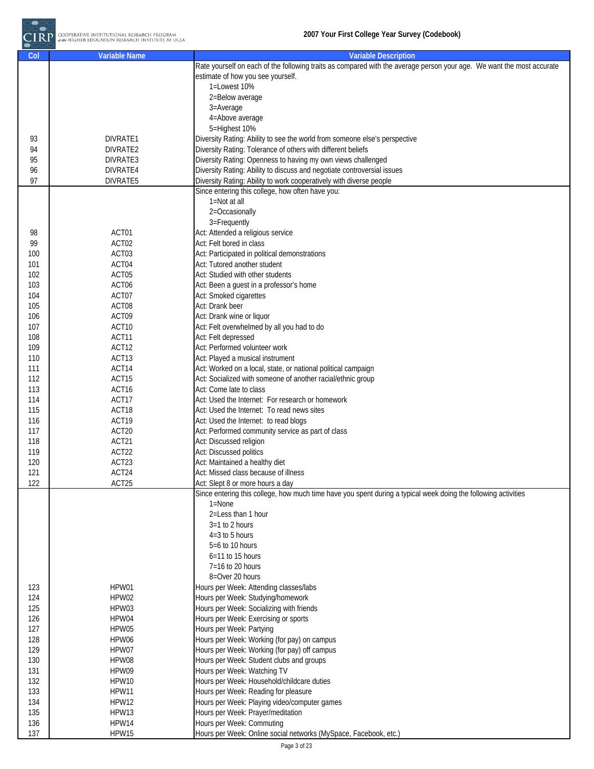

| Col | <b>Variable Name</b> | <b>Variable Description</b>                                                                                           |
|-----|----------------------|-----------------------------------------------------------------------------------------------------------------------|
|     |                      | Rate yourself on each of the following traits as compared with the average person your age. We want the most accurate |
|     |                      | estimate of how you see yourself.                                                                                     |
|     |                      | 1=Lowest 10%                                                                                                          |
|     |                      | 2=Below average                                                                                                       |
|     |                      |                                                                                                                       |
|     |                      | 3=Average                                                                                                             |
|     |                      | 4=Above average                                                                                                       |
|     |                      | 5=Highest 10%                                                                                                         |
| 93  | DIVRATE1             | Diversity Rating: Ability to see the world from someone else's perspective                                            |
| 94  | DIVRATE2             | Diversity Rating: Tolerance of others with different beliefs                                                          |
| 95  | DIVRATE3             | Diversity Rating: Openness to having my own views challenged                                                          |
| 96  |                      | Diversity Rating: Ability to discuss and negotiate controversial issues                                               |
|     | DIVRATE4             |                                                                                                                       |
| 97  | DIVRATE5             | Diversity Rating: Ability to work cooperatively with diverse people                                                   |
|     |                      | Since entering this college, how often have you:                                                                      |
|     |                      | 1=Not at all                                                                                                          |
|     |                      | 2=Occasionally                                                                                                        |
|     |                      | 3=Frequently                                                                                                          |
| 98  | ACT01                | Act: Attended a religious service                                                                                     |
| 99  | ACT02                | Act: Felt bored in class                                                                                              |
|     |                      |                                                                                                                       |
| 100 | ACT03                | Act: Participated in political demonstrations                                                                         |
| 101 | ACT04                | Act: Tutored another student                                                                                          |
| 102 | ACT05                | Act: Studied with other students                                                                                      |
| 103 | ACT06                | Act: Been a guest in a professor's home                                                                               |
| 104 | ACT07                | Act: Smoked cigarettes                                                                                                |
| 105 | ACT08                | Act: Drank beer                                                                                                       |
|     | ACT09                | Act: Drank wine or liquor                                                                                             |
| 106 |                      |                                                                                                                       |
| 107 | ACT10                | Act: Felt overwhelmed by all you had to do                                                                            |
| 108 | ACT11                | Act: Felt depressed                                                                                                   |
| 109 | ACT12                | Act: Performed volunteer work                                                                                         |
| 110 | ACT13                | Act: Played a musical instrument                                                                                      |
| 111 | ACT14                | Act: Worked on a local, state, or national political campaign                                                         |
| 112 | ACT15                | Act: Socialized with someone of another racial/ethnic group                                                           |
|     |                      | Act: Come late to class                                                                                               |
| 113 | ACT16                |                                                                                                                       |
| 114 | ACT17                | Act: Used the Internet: For research or homework                                                                      |
| 115 | ACT18                | Act: Used the Internet: To read news sites                                                                            |
| 116 | ACT19                | Act: Used the Internet: to read blogs                                                                                 |
| 117 | ACT20                | Act: Performed community service as part of class                                                                     |
| 118 | ACT21                | Act: Discussed religion                                                                                               |
| 119 | ACT22                | Act: Discussed politics                                                                                               |
|     |                      |                                                                                                                       |
| 120 | ACT23                | Act: Maintained a healthy diet                                                                                        |
| 121 | ACT24                | Act: Missed class because of illness                                                                                  |
| 122 | ACT25                | Act: Slept 8 or more hours a day                                                                                      |
|     |                      | Since entering this college, how much time have you spent during a typical week doing the following activities        |
|     |                      | $1 = \text{None}$                                                                                                     |
|     |                      | 2=Less than 1 hour                                                                                                    |
|     |                      | $3=1$ to 2 hours                                                                                                      |
|     |                      | $4=3$ to 5 hours                                                                                                      |
|     |                      |                                                                                                                       |
|     |                      | $5=6$ to 10 hours                                                                                                     |
|     |                      | $6=11$ to 15 hours                                                                                                    |
|     |                      | 7=16 to 20 hours                                                                                                      |
|     |                      | 8=Over 20 hours                                                                                                       |
| 123 | HPW01                | Hours per Week: Attending classes/labs                                                                                |
| 124 | HPW02                | Hours per Week: Studying/homework                                                                                     |
|     |                      |                                                                                                                       |
| 125 | HPW03                | Hours per Week: Socializing with friends                                                                              |
| 126 | HPW04                | Hours per Week: Exercising or sports                                                                                  |
| 127 | HPW05                | Hours per Week: Partying                                                                                              |
| 128 | HPW06                | Hours per Week: Working (for pay) on campus                                                                           |
| 129 | HPW07                | Hours per Week: Working (for pay) off campus                                                                          |
| 130 | HPW08                | Hours per Week: Student clubs and groups                                                                              |
| 131 | HPW09                | Hours per Week: Watching TV                                                                                           |
|     |                      |                                                                                                                       |
| 132 | HPW10                | Hours per Week: Household/childcare duties                                                                            |
| 133 | HPW11                | Hours per Week: Reading for pleasure                                                                                  |
| 134 | HPW12                | Hours per Week: Playing video/computer games                                                                          |
| 135 | HPW13                | Hours per Week: Prayer/meditation                                                                                     |
| 136 | HPW14                | Hours per Week: Commuting                                                                                             |
| 137 | HPW15                | Hours per Week: Online social networks (MySpace, Facebook, etc.)                                                      |
|     |                      |                                                                                                                       |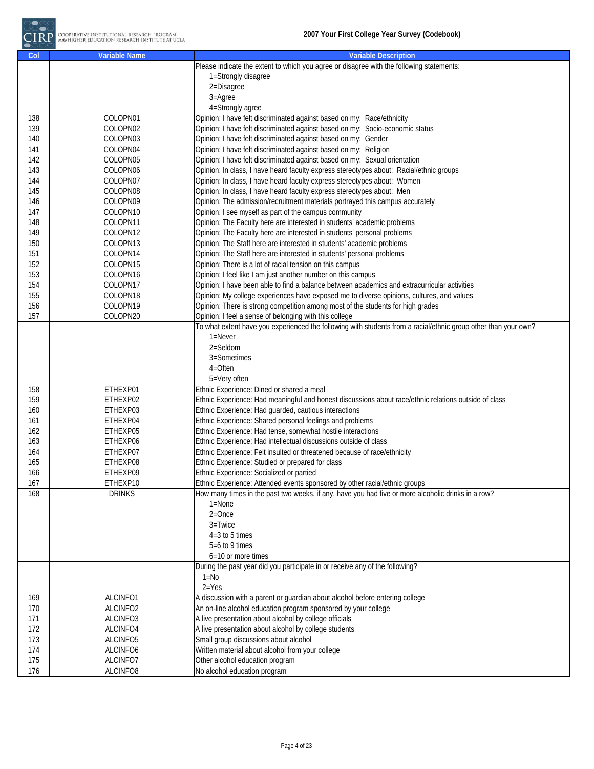| Col | <b>Variable Name</b> | <b>Variable Description</b>                                                                                      |
|-----|----------------------|------------------------------------------------------------------------------------------------------------------|
|     |                      | Please indicate the extent to which you agree or disagree with the following statements:                         |
|     |                      | 1=Strongly disagree                                                                                              |
|     |                      | 2=Disagree                                                                                                       |
|     |                      | 3=Agree                                                                                                          |
|     |                      | 4=Strongly agree                                                                                                 |
| 138 | COLOPN01             | Opinion: I have felt discriminated against based on my: Race/ethnicity                                           |
| 139 | COLOPN02             | Opinion: I have felt discriminated against based on my: Socio-economic status                                    |
| 140 | COLOPN03             | Opinion: I have felt discriminated against based on my: Gender                                                   |
| 141 | COLOPN04             | Opinion: I have felt discriminated against based on my: Religion                                                 |
| 142 | COLOPN05             | Opinion: I have felt discriminated against based on my: Sexual orientation                                       |
| 143 | COLOPN06             | Opinion: In class, I have heard faculty express stereotypes about: Racial/ethnic groups                          |
| 144 | COLOPN07             | Opinion: In class, I have heard faculty express stereotypes about: Women                                         |
|     | COLOPN08             | Opinion: In class, I have heard faculty express stereotypes about: Men                                           |
| 145 |                      |                                                                                                                  |
| 146 | COLOPN09             | Opinion: The admission/recruitment materials portrayed this campus accurately                                    |
| 147 | COLOPN10             | Opinion: I see myself as part of the campus community                                                            |
| 148 | COLOPN11             | Opinion: The Faculty here are interested in students' academic problems                                          |
| 149 | COLOPN12             | Opinion: The Faculty here are interested in students' personal problems                                          |
| 150 | COLOPN13             | Opinion: The Staff here are interested in students' academic problems                                            |
| 151 | COLOPN14             | Opinion: The Staff here are interested in students' personal problems                                            |
| 152 | COLOPN15             | Opinion: There is a lot of racial tension on this campus                                                         |
| 153 | COLOPN16             | Opinion: I feel like I am just another number on this campus                                                     |
| 154 | COLOPN17             | Opinion: I have been able to find a balance between academics and extracurricular activities                     |
| 155 | COLOPN18             | Opinion: My college experiences have exposed me to diverse opinions, cultures, and values                        |
| 156 | COLOPN19             | Opinion: There is strong competition among most of the students for high grades                                  |
| 157 | COLOPN20             | Opinion: I feel a sense of belonging with this college                                                           |
|     |                      | To what extent have you experienced the following with students from a racial/ethnic group other than your own?  |
|     |                      | $1 =$ Never                                                                                                      |
|     |                      | 2=Seldom                                                                                                         |
|     |                      | 3=Sometimes                                                                                                      |
|     |                      | 4=Often                                                                                                          |
|     |                      | 5=Very often                                                                                                     |
| 158 | ETHEXP01             | Ethnic Experience: Dined or shared a meal                                                                        |
| 159 | ETHEXP02             | Ethnic Experience: Had meaningful and honest discussions about race/ethnic relations outside of class            |
| 160 | ETHEXP03             | Ethnic Experience: Had guarded, cautious interactions                                                            |
| 161 | ETHEXP04             | Ethnic Experience: Shared personal feelings and problems                                                         |
| 162 | ETHEXP05             | Ethnic Experience: Had tense, somewhat hostile interactions                                                      |
| 163 | ETHEXP06             | Ethnic Experience: Had intellectual discussions outside of class                                                 |
| 164 | ETHEXP07             | Ethnic Experience: Felt insulted or threatened because of race/ethnicity                                         |
| 165 | ETHEXP08             | Ethnic Experience: Studied or prepared for class                                                                 |
| 166 | ETHEXP09             | Ethnic Experience: Socialized or partied                                                                         |
| 167 | ETHEXP10             | Ethnic Experience: Attended events sponsored by other racial/ethnic groups                                       |
|     | <b>DRINKS</b>        |                                                                                                                  |
| 168 |                      | How many times in the past two weeks, if any, have you had five or more alcoholic drinks in a row?<br>$1 =$ None |
|     |                      | $2 =$ Once                                                                                                       |
|     |                      |                                                                                                                  |
|     |                      | 3=Twice                                                                                                          |
|     |                      | $4=3$ to 5 times                                                                                                 |
|     |                      | $5=6$ to 9 times                                                                                                 |
|     |                      | 6=10 or more times                                                                                               |
|     |                      | During the past year did you participate in or receive any of the following?                                     |
|     |                      | $1 = No$                                                                                                         |
|     |                      | $2 = Yes$                                                                                                        |
| 169 | ALCINFO1             | A discussion with a parent or guardian about alcohol before entering college                                     |
| 170 | ALCINFO2             | An on-line alcohol education program sponsored by your college                                                   |
| 171 | ALCINFO3             | A live presentation about alcohol by college officials                                                           |
| 172 | ALCINFO4             | A live presentation about alcohol by college students                                                            |
| 173 | ALCINFO5             | Small group discussions about alcohol                                                                            |
| 174 | ALCINFO6             | Written material about alcohol from your college                                                                 |
| 175 | ALCINFO7             | Other alcohol education program                                                                                  |
| 176 | ALCINFO8             | No alcohol education program                                                                                     |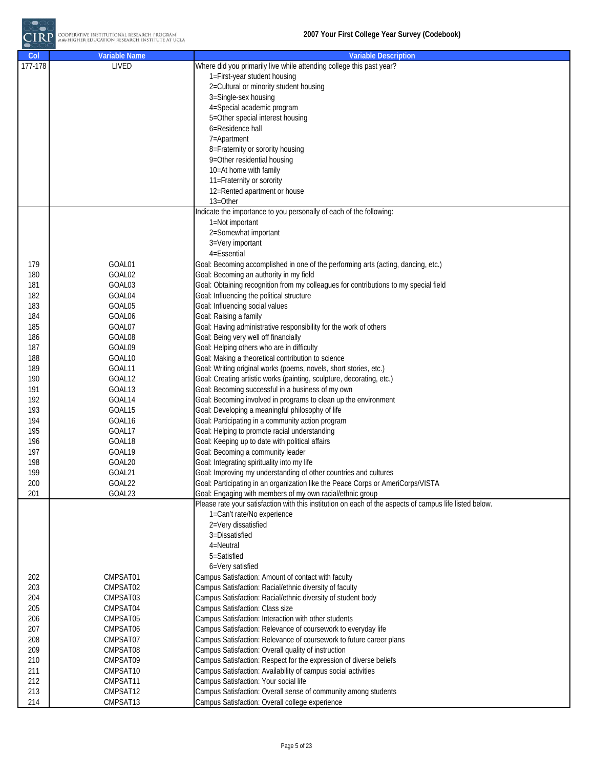| Col     | <b>Variable Name</b> | <b>Variable Description</b>                                                                             |
|---------|----------------------|---------------------------------------------------------------------------------------------------------|
| 177-178 | LIVED                | Where did you primarily live while attending college this past year?                                    |
|         |                      | 1=First-year student housing                                                                            |
|         |                      | 2=Cultural or minority student housing                                                                  |
|         |                      | 3=Single-sex housing                                                                                    |
|         |                      | 4=Special academic program                                                                              |
|         |                      | 5=Other special interest housing                                                                        |
|         |                      | 6=Residence hall                                                                                        |
|         |                      | 7=Apartment                                                                                             |
|         |                      | 8=Fraternity or sorority housing                                                                        |
|         |                      | 9=Other residential housing                                                                             |
|         |                      | 10=At home with family                                                                                  |
|         |                      | 11=Fraternity or sorority                                                                               |
|         |                      | 12=Rented apartment or house                                                                            |
|         |                      | 13=Other                                                                                                |
|         |                      | Indicate the importance to you personally of each of the following:                                     |
|         |                      |                                                                                                         |
|         |                      | 1=Not important                                                                                         |
|         |                      | 2=Somewhat important                                                                                    |
|         |                      | 3=Very important                                                                                        |
|         |                      | 4=Essential                                                                                             |
| 179     | GOAL01               | Goal: Becoming accomplished in one of the performing arts (acting, dancing, etc.)                       |
| 180     | GOAL02               | Goal: Becoming an authority in my field                                                                 |
| 181     | GOAL03               | Goal: Obtaining recognition from my colleagues for contributions to my special field                    |
| 182     | GOAL04               | Goal: Influencing the political structure                                                               |
| 183     | GOAL05               | Goal: Influencing social values                                                                         |
| 184     | GOAL06               | Goal: Raising a family                                                                                  |
| 185     | GOAL07               | Goal: Having administrative responsibility for the work of others                                       |
| 186     | GOAL08               | Goal: Being very well off financially                                                                   |
| 187     | GOAL09               | Goal: Helping others who are in difficulty                                                              |
| 188     | GOAL10               | Goal: Making a theoretical contribution to science                                                      |
| 189     | GOAL11               | Goal: Writing original works (poems, novels, short stories, etc.)                                       |
| 190     | GOAL12               | Goal: Creating artistic works (painting, sculpture, decorating, etc.)                                   |
| 191     | GOAL13               | Goal: Becoming successful in a business of my own                                                       |
| 192     | GOAL14               | Goal: Becoming involved in programs to clean up the environment                                         |
| 193     | GOAL15               | Goal: Developing a meaningful philosophy of life                                                        |
| 194     | GOAL <sub>16</sub>   | Goal: Participating in a community action program                                                       |
| 195     | GOAL17               | Goal: Helping to promote racial understanding                                                           |
| 196     | GOAL18               | Goal: Keeping up to date with political affairs                                                         |
| 197     | GOAL19               | Goal: Becoming a community leader                                                                       |
| 198     | GOAL20               | Goal: Integrating spirituality into my life                                                             |
| 199     | GOAL21               | Goal: Improving my understanding of other countries and cultures                                        |
| 200     | GOAL22               | Goal: Participating in an organization like the Peace Corps or AmeriCorps/VISTA                         |
| 201     | GOAL23               | Goal: Engaging with members of my own racial/ethnic group                                               |
|         |                      | Please rate your satisfaction with this institution on each of the aspects of campus life listed below. |
|         |                      | 1=Can't rate/No experience                                                                              |
|         |                      | 2=Very dissatisfied                                                                                     |
|         |                      | 3=Dissatisfied                                                                                          |
|         |                      | 4=Neutral                                                                                               |
|         |                      | 5=Satisfied                                                                                             |
|         |                      | 6=Very satisfied                                                                                        |
| 202     | CMPSAT01             | Campus Satisfaction: Amount of contact with faculty                                                     |
| 203     | CMPSAT02             | Campus Satisfaction: Racial/ethnic diversity of faculty                                                 |
| 204     | CMPSAT03             | Campus Satisfaction: Racial/ethnic diversity of student body                                            |
| 205     | CMPSAT04             | Campus Satisfaction: Class size                                                                         |
| 206     | CMPSAT05             | Campus Satisfaction: Interaction with other students                                                    |
| 207     | CMPSAT06             | Campus Satisfaction: Relevance of coursework to everyday life                                           |
| 208     | CMPSAT07             | Campus Satisfaction: Relevance of coursework to future career plans                                     |
| 209     | CMPSAT08             | Campus Satisfaction: Overall quality of instruction                                                     |
| 210     | CMPSAT09             | Campus Satisfaction: Respect for the expression of diverse beliefs                                      |
| 211     | CMPSAT10             | Campus Satisfaction: Availability of campus social activities                                           |
| 212     | CMPSAT11             | Campus Satisfaction: Your social life                                                                   |
| 213     | CMPSAT12             | Campus Satisfaction: Overall sense of community among students                                          |
| 214     | CMPSAT13             |                                                                                                         |
|         |                      | Campus Satisfaction: Overall college experience                                                         |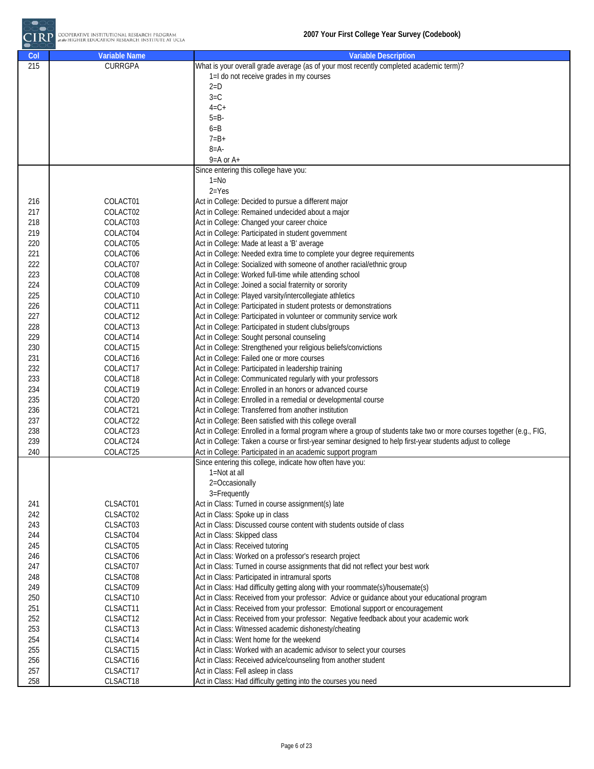

| Col | <b>Variable Name</b> | <b>Variable Description</b>                                                                                          |
|-----|----------------------|----------------------------------------------------------------------------------------------------------------------|
| 215 | <b>CURRGPA</b>       | What is your overall grade average (as of your most recently completed academic term)?                               |
|     |                      | 1=I do not receive grades in my courses                                                                              |
|     |                      | $2=D$                                                                                                                |
|     |                      | $3=C$                                                                                                                |
|     |                      | $4=C+$                                                                                                               |
|     |                      | $5 = B -$                                                                                                            |
|     |                      | $6 = B$                                                                                                              |
|     |                      | $7 = B +$                                                                                                            |
|     |                      | $8 = A -$                                                                                                            |
|     |                      | $9 = A$ or $A +$                                                                                                     |
|     |                      | Since entering this college have you:                                                                                |
|     |                      | $1 = No$                                                                                                             |
|     |                      | $2 = Yes$                                                                                                            |
| 216 | COLACT01             | Act in College: Decided to pursue a different major                                                                  |
| 217 | COLACT02             | Act in College: Remained undecided about a major                                                                     |
| 218 | COLACT03             | Act in College: Changed your career choice                                                                           |
| 219 | COLACT04             | Act in College: Participated in student government                                                                   |
| 220 | COLACT05             | Act in College: Made at least a 'B' average                                                                          |
| 221 | COLACT06             | Act in College: Needed extra time to complete your degree requirements                                               |
| 222 | COLACT07             | Act in College: Socialized with someone of another racial/ethnic group                                               |
| 223 | COLACT08             | Act in College: Worked full-time while attending school                                                              |
| 224 | COLACT09             | Act in College: Joined a social fraternity or sorority                                                               |
| 225 | COLACT10             | Act in College: Played varsity/intercollegiate athletics                                                             |
| 226 | COLACT11             | Act in College: Participated in student protests or demonstrations                                                   |
| 227 | COLACT12             | Act in College: Participated in volunteer or community service work                                                  |
| 228 | COLACT13             | Act in College: Participated in student clubs/groups                                                                 |
| 229 | COLACT14             | Act in College: Sought personal counseling                                                                           |
| 230 | COLACT15             | Act in College: Strengthened your religious beliefs/convictions                                                      |
| 231 | COLACT16             | Act in College: Failed one or more courses                                                                           |
| 232 | COLACT17             | Act in College: Participated in leadership training                                                                  |
| 233 | COLACT18             | Act in College: Communicated regularly with your professors                                                          |
| 234 | COLACT19             | Act in College: Enrolled in an honors or advanced course                                                             |
| 235 | COLACT20             | Act in College: Enrolled in a remedial or developmental course                                                       |
| 236 | COLACT21             | Act in College: Transferred from another institution                                                                 |
| 237 | COLACT22             | Act in College: Been satisfied with this college overall                                                             |
| 238 | COLACT23             | Act in College: Enrolled in a formal program where a group of students take two or more courses together (e.g., FIG, |
| 239 | COLACT24             | Act in College: Taken a course or first-year seminar designed to help first-year students adjust to college          |
| 240 | COLACT25             | Act in College: Participated in an academic support program                                                          |
|     |                      | Since entering this college, indicate how often have you:                                                            |
|     |                      | 1=Not at all                                                                                                         |
|     |                      | 2=Occasionally                                                                                                       |
|     |                      | 3=Frequently                                                                                                         |
| 241 | CLSACT01             | Act in Class: Turned in course assignment(s) late                                                                    |
| 242 | CLSACT02             | Act in Class: Spoke up in class                                                                                      |
| 243 | CLSACT03             | Act in Class: Discussed course content with students outside of class                                                |
| 244 | CLSACT04             | Act in Class: Skipped class                                                                                          |
| 245 | CLSACT05             | Act in Class: Received tutoring                                                                                      |
| 246 | CLSACT06             | Act in Class: Worked on a professor's research project                                                               |
| 247 | CLSACT07             | Act in Class: Turned in course assignments that did not reflect your best work                                       |
| 248 | CLSACT08             | Act in Class: Participated in intramural sports                                                                      |
| 249 | CLSACT09             | Act in Class: Had difficulty getting along with your roommate(s)/housemate(s)                                        |
| 250 | CLSACT10             | Act in Class: Received from your professor: Advice or guidance about your educational program                        |
| 251 | CLSACT11             | Act in Class: Received from your professor: Emotional support or encouragement                                       |
| 252 | CLSACT12             | Act in Class: Received from your professor: Negative feedback about your academic work                               |
| 253 | CLSACT13             | Act in Class: Witnessed academic dishonesty/cheating                                                                 |
| 254 | CLSACT14             | Act in Class: Went home for the weekend                                                                              |
| 255 | CLSACT15             | Act in Class: Worked with an academic advisor to select your courses                                                 |
| 256 | CLSACT16             | Act in Class: Received advice/counseling from another student                                                        |
| 257 | CLSACT17             | Act in Class: Fell asleep in class                                                                                   |
| 258 | CLSACT18             | Act in Class: Had difficulty getting into the courses you need                                                       |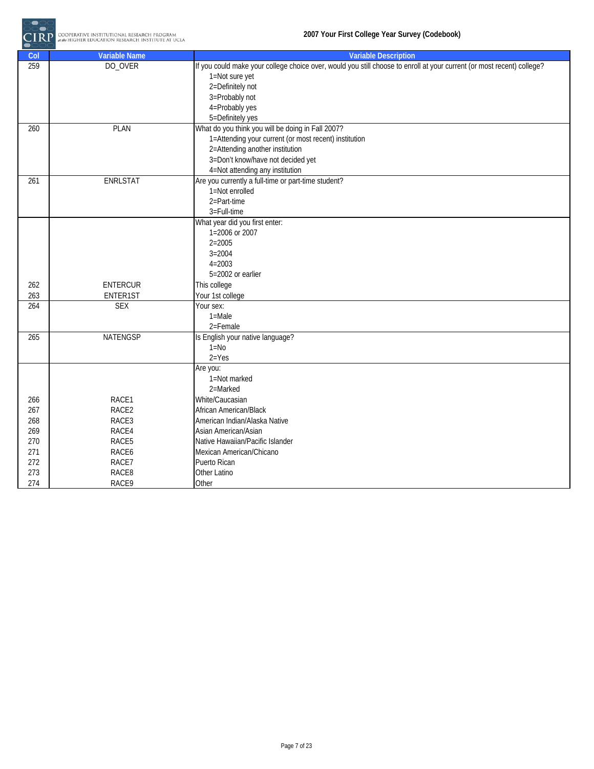

| Col | <b>Variable Name</b> | <b>Variable Description</b>                                                                                            |
|-----|----------------------|------------------------------------------------------------------------------------------------------------------------|
| 259 | DO_OVER              | If you could make your college choice over, would you still choose to enroll at your current (or most recent) college? |
|     |                      | 1=Not sure yet                                                                                                         |
|     |                      | 2=Definitely not                                                                                                       |
|     |                      | 3=Probably not                                                                                                         |
|     |                      | 4=Probably yes                                                                                                         |
|     |                      | 5=Definitely yes                                                                                                       |
| 260 | <b>PLAN</b>          | What do you think you will be doing in Fall 2007?                                                                      |
|     |                      | 1=Attending your current (or most recent) institution                                                                  |
|     |                      | 2=Attending another institution                                                                                        |
|     |                      | 3=Don't know/have not decided yet                                                                                      |
|     |                      | 4=Not attending any institution                                                                                        |
| 261 | <b>ENRLSTAT</b>      | Are you currently a full-time or part-time student?                                                                    |
|     |                      | 1=Not enrolled                                                                                                         |
|     |                      | 2=Part-time                                                                                                            |
|     |                      | 3=Full-time                                                                                                            |
|     |                      | What year did you first enter:                                                                                         |
|     |                      | 1=2006 or 2007                                                                                                         |
|     |                      | $2 = 2005$                                                                                                             |
|     |                      | $3 = 2004$                                                                                                             |
|     |                      | $4 = 2003$                                                                                                             |
|     |                      | 5=2002 or earlier                                                                                                      |
| 262 | <b>ENTERCUR</b>      | This college                                                                                                           |
| 263 | ENTER1ST             | Your 1st college                                                                                                       |
| 264 | <b>SEX</b>           | Your sex:                                                                                                              |
|     |                      | $1 = Male$                                                                                                             |
|     |                      | 2=Female                                                                                                               |
| 265 | <b>NATENGSP</b>      | Is English your native language?                                                                                       |
|     |                      | $1 = No$                                                                                                               |
|     |                      | $2 = Yes$                                                                                                              |
|     |                      | Are you:                                                                                                               |
|     |                      | 1=Not marked                                                                                                           |
|     |                      | 2=Marked                                                                                                               |
| 266 | RACE1                | White/Caucasian                                                                                                        |
| 267 | RACE2                | African American/Black                                                                                                 |
| 268 | RACE3                | American Indian/Alaska Native                                                                                          |
| 269 | RACE4                | Asian American/Asian                                                                                                   |
| 270 | RACE5                | Native Hawaiian/Pacific Islander                                                                                       |
| 271 | RACE6                | Mexican American/Chicano                                                                                               |
| 272 | RACE7                | Puerto Rican                                                                                                           |
| 273 | RACE8                | Other Latino                                                                                                           |
| 274 | RACE9                | Other                                                                                                                  |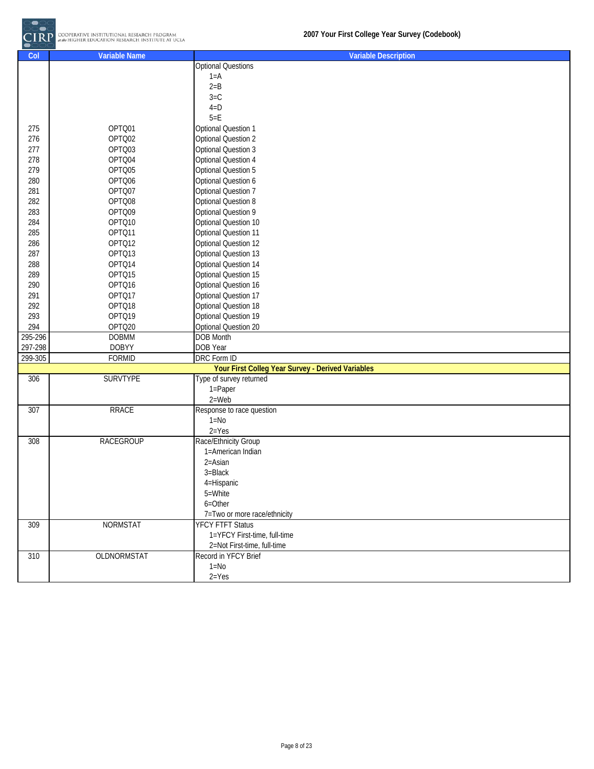

| Col     | <b>Variable Name</b> | <b>Variable Description</b>                       |
|---------|----------------------|---------------------------------------------------|
|         |                      | <b>Optional Questions</b>                         |
|         |                      | $1 = A$                                           |
|         |                      | $2 = B$                                           |
|         |                      | $3=C$                                             |
|         |                      | $4=D$                                             |
|         |                      | $5=E$                                             |
| 275     | OPTQ01               | <b>Optional Question 1</b>                        |
| 276     | OPTQ02               | <b>Optional Question 2</b>                        |
| 277     | OPTQ03               | <b>Optional Question 3</b>                        |
| 278     | OPTQ04               | <b>Optional Question 4</b>                        |
| 279     | OPTQ05               | <b>Optional Question 5</b>                        |
| 280     | OPTQ06               | Optional Question 6                               |
| 281     | OPTQ07               | <b>Optional Question 7</b>                        |
| 282     | OPTQ08               | Optional Question 8                               |
| 283     | OPTQ09               | Optional Question 9                               |
| 284     | OPTQ10               | Optional Question 10                              |
| 285     | OPTQ11               | Optional Question 11                              |
| 286     | OPTQ12               | Optional Question 12                              |
| 287     | OPTQ13               | Optional Question 13                              |
| 288     | OPTQ14               | Optional Question 14                              |
| 289     | OPTQ15               | Optional Question 15                              |
| 290     | OPTQ16               | Optional Question 16                              |
| 291     | OPTQ17               | Optional Question 17                              |
| 292     | OPTQ18               | Optional Question 18                              |
| 293     | OPTQ19               | Optional Question 19                              |
| 294     | OPTQ20               | Optional Question 20                              |
| 295-296 | <b>DOBMM</b>         | <b>DOB Month</b>                                  |
| 297-298 | <b>DOBYY</b>         | DOB Year                                          |
| 299-305 | <b>FORMID</b>        | <b>DRC</b> Form ID                                |
|         |                      | Your First Colleg Year Survey - Derived Variables |
| 306     | <b>SURVTYPE</b>      | Type of survey returned                           |
|         |                      | 1=Paper                                           |
|         |                      | $2 = Web$                                         |
| 307     | <b>RRACE</b>         | Response to race question                         |
|         |                      | $1 = No$                                          |
|         |                      | $2 = Yes$                                         |
| 308     | <b>RACEGROUP</b>     | Race/Ethnicity Group                              |
|         |                      | 1=American Indian                                 |
|         |                      | 2=Asian                                           |
|         |                      | 3=Black                                           |
|         |                      | 4=Hispanic                                        |
|         |                      | 5=White                                           |
|         |                      | $6 = 0$ ther                                      |
|         |                      | 7=Two or more race/ethnicity                      |
| 309     | <b>NORMSTAT</b>      | <b>YFCY FTFT Status</b>                           |
|         |                      | 1=YFCY First-time, full-time                      |
|         |                      | 2=Not First-time, full-time                       |
| 310     | OLDNORMSTAT          | Record in YFCY Brief                              |
|         |                      | $1 = No$                                          |
|         |                      | $2 = Yes$                                         |
|         |                      |                                                   |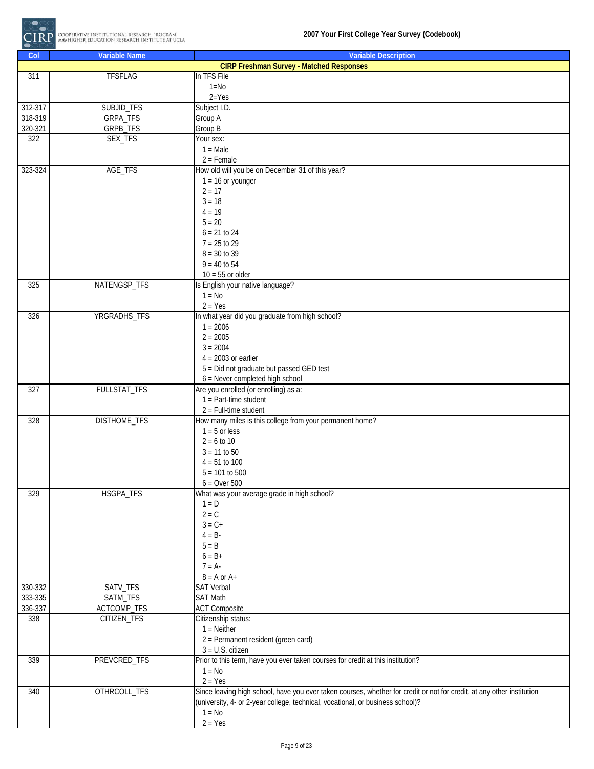

| Col     | <b>Variable Name</b> | <b>Variable Description</b>                                                                                            |
|---------|----------------------|------------------------------------------------------------------------------------------------------------------------|
|         |                      | <b>CIRP Freshman Survey - Matched Responses</b>                                                                        |
| 311     | <b>TFSFLAG</b>       | In TFS File                                                                                                            |
|         |                      | $1 = No$                                                                                                               |
|         |                      | $2 = Yes$                                                                                                              |
| 312-317 | SUBJID_TFS           | Subject I.D.                                                                                                           |
| 318-319 | GRPA_TFS             | Group A                                                                                                                |
| 320-321 | GRPB_TFS             | Group B                                                                                                                |
| 322     | SEX_TFS              | Your sex:                                                                                                              |
|         |                      | $1 = Male$                                                                                                             |
|         |                      | $2 =$ Female                                                                                                           |
| 323-324 | AGE_TFS              | How old will you be on December 31 of this year?                                                                       |
|         |                      | $1 = 16$ or younger                                                                                                    |
|         |                      | $2 = 17$                                                                                                               |
|         |                      | $3 = 18$                                                                                                               |
|         |                      | $4 = 19$                                                                                                               |
|         |                      | $5 = 20$                                                                                                               |
|         |                      | $6 = 21 to 24$                                                                                                         |
|         |                      | $7 = 25$ to 29                                                                                                         |
|         |                      | $8 = 30$ to 39                                                                                                         |
|         |                      | $9 = 40$ to 54                                                                                                         |
|         |                      | $10 = 55$ or older                                                                                                     |
| 325     | NATENGSP_TFS         | Is English your native language?                                                                                       |
|         |                      | $1 = No$                                                                                                               |
|         |                      | $2 = Yes$                                                                                                              |
| 326     | YRGRADHS_TFS         | In what year did you graduate from high school?<br>$1 = 2006$                                                          |
|         |                      | $2 = 2005$                                                                                                             |
|         |                      | $3 = 2004$                                                                                                             |
|         |                      | $4 = 2003$ or earlier                                                                                                  |
|         |                      | 5 = Did not graduate but passed GED test                                                                               |
|         |                      | $6$ = Never completed high school                                                                                      |
| 327     | FULLSTAT_TFS         | Are you enrolled (or enrolling) as a:                                                                                  |
|         |                      | $1 = Part-time student$                                                                                                |
|         |                      | $2$ = Full-time student                                                                                                |
| 328     | <b>DISTHOME_TFS</b>  | How many miles is this college from your permanent home?                                                               |
|         |                      | $1 - 5$ or less                                                                                                        |
|         |                      | $2 = 6$ to 10                                                                                                          |
|         |                      | $3 = 11$ to 50                                                                                                         |
|         |                      | $4 = 51$ to 100                                                                                                        |
|         |                      | $5 = 101$ to 500                                                                                                       |
|         |                      | $6 =$ Over $500$                                                                                                       |
| 329     | HSGPA_TFS            | What was your average grade in high school?                                                                            |
|         |                      | $1 = D$                                                                                                                |
|         |                      | $2 = C$                                                                                                                |
|         |                      | $3 = C +$                                                                                                              |
|         |                      | $4 = B -$                                                                                                              |
|         |                      | $5 = B$                                                                                                                |
|         |                      | $6 = B +$                                                                                                              |
|         |                      | $7 = A$                                                                                                                |
|         |                      | $8 = A$ or $A+$                                                                                                        |
| 330-332 | SATV_TFS             | <b>SAT Verbal</b>                                                                                                      |
| 333-335 | SATM_TFS             | <b>SAT Math</b>                                                                                                        |
| 336-337 | ACTCOMP_TFS          | <b>ACT Composite</b>                                                                                                   |
| 338     | CITIZEN_TFS          | Citizenship status:                                                                                                    |
|         |                      | $1 =$ Neither                                                                                                          |
|         |                      | 2 = Permanent resident (green card)                                                                                    |
| 339     | PREVCRED_TFS         | $3 = U.S.$ citizen<br>Prior to this term, have you ever taken courses for credit at this institution?                  |
|         |                      | $1 = No$                                                                                                               |
|         |                      | $2 = Yes$                                                                                                              |
| 340     | OTHRCOLL_TFS         | Since leaving high school, have you ever taken courses, whether for credit or not for credit, at any other institution |
|         |                      | (university, 4- or 2-year college, technical, vocational, or business school)?                                         |
|         |                      | $1 = No$                                                                                                               |
|         |                      | $2 = Yes$                                                                                                              |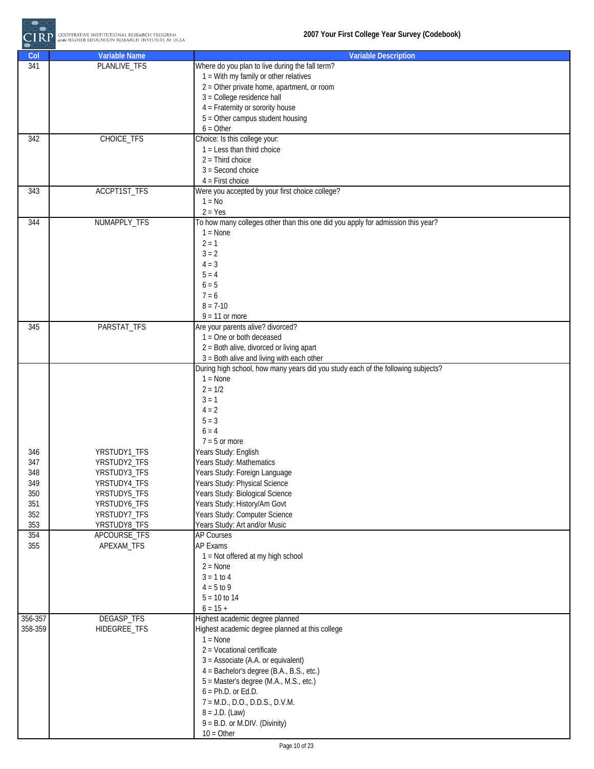

| Col        | <b>Variable Name</b>         | <b>Variable Description</b>                                                      |
|------------|------------------------------|----------------------------------------------------------------------------------|
| 341        | PLANLIVE_TFS                 | Where do you plan to live during the fall term?                                  |
|            |                              | $1 =$ With my family or other relatives                                          |
|            |                              | $2 =$ Other private home, apartment, or room                                     |
|            |                              | 3 = College residence hall                                                       |
|            |                              | 4 = Fraternity or sorority house                                                 |
|            |                              | $5 =$ Other campus student housing                                               |
|            |                              | $6 = Other$                                                                      |
| 342        | CHOICE_TFS                   | Choice: Is this college your:                                                    |
|            |                              | $1 =$ Less than third choice                                                     |
|            |                              | $2 = Third choice$<br>$3 = Second choice$                                        |
|            |                              | $4$ = First choice                                                               |
| 343        | ACCPT1ST_TFS                 | Were you accepted by your first choice college?                                  |
|            |                              | $1 = No$                                                                         |
|            |                              | $2 = Yes$                                                                        |
| 344        | NUMAPPLY_TFS                 | To how many colleges other than this one did you apply for admission this year?  |
|            |                              | $1 = \text{None}$                                                                |
|            |                              | $2 = 1$                                                                          |
|            |                              | $3 = 2$                                                                          |
|            |                              | $4 = 3$                                                                          |
|            |                              | $5 = 4$                                                                          |
|            |                              | $6 = 5$                                                                          |
|            |                              | $7 = 6$                                                                          |
|            |                              | $8 = 7-10$                                                                       |
| 345        | PARSTAT_TFS                  | $9 = 11$ or more<br>Are your parents alive? divorced?                            |
|            |                              | $1 =$ One or both deceased                                                       |
|            |                              | 2 = Both alive, divorced or living apart                                         |
|            |                              | $3 =$ Both alive and living with each other                                      |
|            |                              | During high school, how many years did you study each of the following subjects? |
|            |                              | $1 = None$                                                                       |
|            |                              | $2 = 1/2$                                                                        |
|            |                              | $3 = 1$                                                                          |
|            |                              | $4 = 2$                                                                          |
|            |                              | $5 = 3$                                                                          |
|            |                              | $6 = 4$                                                                          |
|            |                              | $7 - 5$ or more                                                                  |
| 346<br>347 | YRSTUDY1_TFS<br>YRSTUDY2_TFS | Years Study: English<br>Years Study: Mathematics                                 |
| 348        | YRSTUDY3_TFS                 | Years Study: Foreign Language                                                    |
| 349        | YRSTUDY4_TFS                 | Years Study: Physical Science                                                    |
| 350        | YRSTUDY5_TFS                 | Years Study: Biological Science                                                  |
| 351        | YRSTUDY6_TFS                 | Years Study: History/Am Govt                                                     |
| 352        | YRSTUDY7_TFS                 | Years Study: Computer Science                                                    |
| 353        | YRSTUDY8_TFS                 | Years Study: Art and/or Music                                                    |
| 354        | APCOURSE_TFS                 | <b>AP Courses</b>                                                                |
| 355        | APEXAM_TFS                   | AP Exams                                                                         |
|            |                              | 1 = Not offered at my high school                                                |
|            |                              | $2 = None$<br>$3 = 1 to 4$                                                       |
|            |                              | $4 = 5 to 9$                                                                     |
|            |                              | $5 = 10$ to 14                                                                   |
|            |                              | $6 = 15 +$                                                                       |
| 356-357    | DEGASP_TFS                   | Highest academic degree planned                                                  |
| 358-359    | HIDEGREE_TFS                 | Highest academic degree planned at this college                                  |
|            |                              | $1 = None$                                                                       |
|            |                              | 2 = Vocational certificate                                                       |
|            |                              | $3 =$ Associate (A.A. or equivalent)                                             |
|            |                              | 4 = Bachelor's degree (B.A., B.S., etc.)                                         |
|            |                              | 5 = Master's degree (M.A., M.S., etc.)                                           |
|            |                              | $6 = Ph.D.$ or Ed.D.                                                             |
|            |                              | $7 = M.D., D.O., D.D.S., D.V.M.$                                                 |
|            |                              | $8 = J.D. (Law)$                                                                 |
|            |                              | $9 = B.D.$ or M.DIV. (Divinity)<br>$10 = Other$                                  |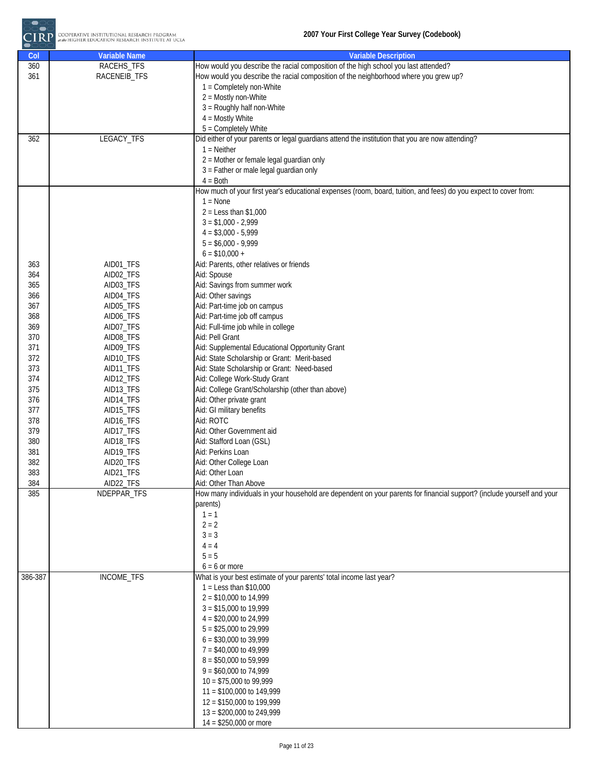

| How would you describe the racial composition of the high school you last attended?<br>RACEHS_TFS<br>360<br>How would you describe the racial composition of the neighborhood where you grew up?<br>361<br>RACENEIB_TFS<br>1 = Completely non-White<br>2 = Mostly non-White<br>3 = Roughly half non-White<br>$4 =$ Mostly White<br>5 = Completely White<br>LEGACY_TFS<br>Did either of your parents or legal guardians attend the institution that you are now attending?<br>362<br>$1 =$ Neither<br>2 = Mother or female legal guardian only<br>3 = Father or male legal guardian only<br>$4 = Both$<br>How much of your first year's educational expenses (room, board, tuition, and fees) do you expect to cover from:<br>$1 = \text{None}$<br>$2 =$ Less than \$1,000<br>$3 = $1,000 - 2,999$<br>$4 = $3,000 - 5,999$<br>$5 = $6,000 - 9,999$<br>$6 = $10,000 +$<br>AID01_TFS<br>Aid: Parents, other relatives or friends<br>363<br>364<br>AID02_TFS<br>Aid: Spouse<br>Aid: Savings from summer work<br>365<br>AID03_TFS<br>AID04_TFS<br>Aid: Other savings<br>366<br>Aid: Part-time job on campus<br>367<br>AID05_TFS<br>Aid: Part-time job off campus<br>368<br>AID06_TFS<br>Aid: Full-time job while in college<br>369<br>AID07_TFS<br>370<br>AID08_TFS<br>Aid: Pell Grant<br>371<br>AID09_TFS<br>Aid: Supplemental Educational Opportunity Grant<br>372<br>Aid: State Scholarship or Grant: Merit-based<br>AID10_TFS<br>373<br>Aid: State Scholarship or Grant: Need-based<br>AID11_TFS<br>374<br>AID12_TFS<br>Aid: College Work-Study Grant<br>375<br>AID13_TFS<br>Aid: College Grant/Scholarship (other than above)<br>376<br>AID14_TFS<br>Aid: Other private grant<br>Aid: GI military benefits<br>377<br>AID15_TFS<br>Aid: ROTC<br>378<br>AID16_TFS<br>379<br>Aid: Other Government aid<br>AID17_TFS<br>380<br>AID18_TFS<br>Aid: Stafford Loan (GSL)<br>381<br>Aid: Perkins Loan<br>AID19_TFS<br>382<br>AID20_TFS<br>Aid: Other College Loan<br>383<br>AID21_TFS<br>Aid: Other Loan<br>384<br>AID22_TFS<br>Aid: Other Than Above<br>How many individuals in your household are dependent on your parents for financial support? (include yourself and your<br>385<br>NDEPPAR_TFS<br>parents)<br>$1 = 1$<br>$2 = 2$<br>$3 = 3$<br>$4 = 4$<br>$5 = 5$<br>$6 = 6$ or more<br>INCOME_TFS<br>386-387<br>What is your best estimate of your parents' total income last year?<br>$1 =$ Less than \$10,000<br>$2 = $10,000$ to 14,999<br>$3 = $15,000$ to 19,999<br>$4 = $20,000$ to 24,999<br>$5 = $25,000$ to 29,999<br>$6 = $30,000$ to 39,999<br>7 = \$40,000 to 49,999<br>$8 = $50,000$ to 59,999<br>$9 = $60,000$ to 74,999<br>$10 = $75,000$ to 99,999 | Col | <b>Variable Name</b> | <b>Variable Description</b> |
|-------------------------------------------------------------------------------------------------------------------------------------------------------------------------------------------------------------------------------------------------------------------------------------------------------------------------------------------------------------------------------------------------------------------------------------------------------------------------------------------------------------------------------------------------------------------------------------------------------------------------------------------------------------------------------------------------------------------------------------------------------------------------------------------------------------------------------------------------------------------------------------------------------------------------------------------------------------------------------------------------------------------------------------------------------------------------------------------------------------------------------------------------------------------------------------------------------------------------------------------------------------------------------------------------------------------------------------------------------------------------------------------------------------------------------------------------------------------------------------------------------------------------------------------------------------------------------------------------------------------------------------------------------------------------------------------------------------------------------------------------------------------------------------------------------------------------------------------------------------------------------------------------------------------------------------------------------------------------------------------------------------------------------------------------------------------------------------------------------------------------------------------------------------------------------------------------------------------------------------------------------------------------------------------------------------------------------------------------------------------------------------------------------------------------------------------------------------------------------------------------------------------------------------------------------------------------------------------------------------------------------------------------------------------|-----|----------------------|-----------------------------|
|                                                                                                                                                                                                                                                                                                                                                                                                                                                                                                                                                                                                                                                                                                                                                                                                                                                                                                                                                                                                                                                                                                                                                                                                                                                                                                                                                                                                                                                                                                                                                                                                                                                                                                                                                                                                                                                                                                                                                                                                                                                                                                                                                                                                                                                                                                                                                                                                                                                                                                                                                                                                                                                                   |     |                      |                             |
|                                                                                                                                                                                                                                                                                                                                                                                                                                                                                                                                                                                                                                                                                                                                                                                                                                                                                                                                                                                                                                                                                                                                                                                                                                                                                                                                                                                                                                                                                                                                                                                                                                                                                                                                                                                                                                                                                                                                                                                                                                                                                                                                                                                                                                                                                                                                                                                                                                                                                                                                                                                                                                                                   |     |                      |                             |
|                                                                                                                                                                                                                                                                                                                                                                                                                                                                                                                                                                                                                                                                                                                                                                                                                                                                                                                                                                                                                                                                                                                                                                                                                                                                                                                                                                                                                                                                                                                                                                                                                                                                                                                                                                                                                                                                                                                                                                                                                                                                                                                                                                                                                                                                                                                                                                                                                                                                                                                                                                                                                                                                   |     |                      |                             |
|                                                                                                                                                                                                                                                                                                                                                                                                                                                                                                                                                                                                                                                                                                                                                                                                                                                                                                                                                                                                                                                                                                                                                                                                                                                                                                                                                                                                                                                                                                                                                                                                                                                                                                                                                                                                                                                                                                                                                                                                                                                                                                                                                                                                                                                                                                                                                                                                                                                                                                                                                                                                                                                                   |     |                      |                             |
|                                                                                                                                                                                                                                                                                                                                                                                                                                                                                                                                                                                                                                                                                                                                                                                                                                                                                                                                                                                                                                                                                                                                                                                                                                                                                                                                                                                                                                                                                                                                                                                                                                                                                                                                                                                                                                                                                                                                                                                                                                                                                                                                                                                                                                                                                                                                                                                                                                                                                                                                                                                                                                                                   |     |                      |                             |
|                                                                                                                                                                                                                                                                                                                                                                                                                                                                                                                                                                                                                                                                                                                                                                                                                                                                                                                                                                                                                                                                                                                                                                                                                                                                                                                                                                                                                                                                                                                                                                                                                                                                                                                                                                                                                                                                                                                                                                                                                                                                                                                                                                                                                                                                                                                                                                                                                                                                                                                                                                                                                                                                   |     |                      |                             |
|                                                                                                                                                                                                                                                                                                                                                                                                                                                                                                                                                                                                                                                                                                                                                                                                                                                                                                                                                                                                                                                                                                                                                                                                                                                                                                                                                                                                                                                                                                                                                                                                                                                                                                                                                                                                                                                                                                                                                                                                                                                                                                                                                                                                                                                                                                                                                                                                                                                                                                                                                                                                                                                                   |     |                      |                             |
|                                                                                                                                                                                                                                                                                                                                                                                                                                                                                                                                                                                                                                                                                                                                                                                                                                                                                                                                                                                                                                                                                                                                                                                                                                                                                                                                                                                                                                                                                                                                                                                                                                                                                                                                                                                                                                                                                                                                                                                                                                                                                                                                                                                                                                                                                                                                                                                                                                                                                                                                                                                                                                                                   |     |                      |                             |
|                                                                                                                                                                                                                                                                                                                                                                                                                                                                                                                                                                                                                                                                                                                                                                                                                                                                                                                                                                                                                                                                                                                                                                                                                                                                                                                                                                                                                                                                                                                                                                                                                                                                                                                                                                                                                                                                                                                                                                                                                                                                                                                                                                                                                                                                                                                                                                                                                                                                                                                                                                                                                                                                   |     |                      |                             |
|                                                                                                                                                                                                                                                                                                                                                                                                                                                                                                                                                                                                                                                                                                                                                                                                                                                                                                                                                                                                                                                                                                                                                                                                                                                                                                                                                                                                                                                                                                                                                                                                                                                                                                                                                                                                                                                                                                                                                                                                                                                                                                                                                                                                                                                                                                                                                                                                                                                                                                                                                                                                                                                                   |     |                      |                             |
|                                                                                                                                                                                                                                                                                                                                                                                                                                                                                                                                                                                                                                                                                                                                                                                                                                                                                                                                                                                                                                                                                                                                                                                                                                                                                                                                                                                                                                                                                                                                                                                                                                                                                                                                                                                                                                                                                                                                                                                                                                                                                                                                                                                                                                                                                                                                                                                                                                                                                                                                                                                                                                                                   |     |                      |                             |
|                                                                                                                                                                                                                                                                                                                                                                                                                                                                                                                                                                                                                                                                                                                                                                                                                                                                                                                                                                                                                                                                                                                                                                                                                                                                                                                                                                                                                                                                                                                                                                                                                                                                                                                                                                                                                                                                                                                                                                                                                                                                                                                                                                                                                                                                                                                                                                                                                                                                                                                                                                                                                                                                   |     |                      |                             |
|                                                                                                                                                                                                                                                                                                                                                                                                                                                                                                                                                                                                                                                                                                                                                                                                                                                                                                                                                                                                                                                                                                                                                                                                                                                                                                                                                                                                                                                                                                                                                                                                                                                                                                                                                                                                                                                                                                                                                                                                                                                                                                                                                                                                                                                                                                                                                                                                                                                                                                                                                                                                                                                                   |     |                      |                             |
|                                                                                                                                                                                                                                                                                                                                                                                                                                                                                                                                                                                                                                                                                                                                                                                                                                                                                                                                                                                                                                                                                                                                                                                                                                                                                                                                                                                                                                                                                                                                                                                                                                                                                                                                                                                                                                                                                                                                                                                                                                                                                                                                                                                                                                                                                                                                                                                                                                                                                                                                                                                                                                                                   |     |                      |                             |
|                                                                                                                                                                                                                                                                                                                                                                                                                                                                                                                                                                                                                                                                                                                                                                                                                                                                                                                                                                                                                                                                                                                                                                                                                                                                                                                                                                                                                                                                                                                                                                                                                                                                                                                                                                                                                                                                                                                                                                                                                                                                                                                                                                                                                                                                                                                                                                                                                                                                                                                                                                                                                                                                   |     |                      |                             |
|                                                                                                                                                                                                                                                                                                                                                                                                                                                                                                                                                                                                                                                                                                                                                                                                                                                                                                                                                                                                                                                                                                                                                                                                                                                                                                                                                                                                                                                                                                                                                                                                                                                                                                                                                                                                                                                                                                                                                                                                                                                                                                                                                                                                                                                                                                                                                                                                                                                                                                                                                                                                                                                                   |     |                      |                             |
|                                                                                                                                                                                                                                                                                                                                                                                                                                                                                                                                                                                                                                                                                                                                                                                                                                                                                                                                                                                                                                                                                                                                                                                                                                                                                                                                                                                                                                                                                                                                                                                                                                                                                                                                                                                                                                                                                                                                                                                                                                                                                                                                                                                                                                                                                                                                                                                                                                                                                                                                                                                                                                                                   |     |                      |                             |
|                                                                                                                                                                                                                                                                                                                                                                                                                                                                                                                                                                                                                                                                                                                                                                                                                                                                                                                                                                                                                                                                                                                                                                                                                                                                                                                                                                                                                                                                                                                                                                                                                                                                                                                                                                                                                                                                                                                                                                                                                                                                                                                                                                                                                                                                                                                                                                                                                                                                                                                                                                                                                                                                   |     |                      |                             |
|                                                                                                                                                                                                                                                                                                                                                                                                                                                                                                                                                                                                                                                                                                                                                                                                                                                                                                                                                                                                                                                                                                                                                                                                                                                                                                                                                                                                                                                                                                                                                                                                                                                                                                                                                                                                                                                                                                                                                                                                                                                                                                                                                                                                                                                                                                                                                                                                                                                                                                                                                                                                                                                                   |     |                      |                             |
|                                                                                                                                                                                                                                                                                                                                                                                                                                                                                                                                                                                                                                                                                                                                                                                                                                                                                                                                                                                                                                                                                                                                                                                                                                                                                                                                                                                                                                                                                                                                                                                                                                                                                                                                                                                                                                                                                                                                                                                                                                                                                                                                                                                                                                                                                                                                                                                                                                                                                                                                                                                                                                                                   |     |                      |                             |
|                                                                                                                                                                                                                                                                                                                                                                                                                                                                                                                                                                                                                                                                                                                                                                                                                                                                                                                                                                                                                                                                                                                                                                                                                                                                                                                                                                                                                                                                                                                                                                                                                                                                                                                                                                                                                                                                                                                                                                                                                                                                                                                                                                                                                                                                                                                                                                                                                                                                                                                                                                                                                                                                   |     |                      |                             |
|                                                                                                                                                                                                                                                                                                                                                                                                                                                                                                                                                                                                                                                                                                                                                                                                                                                                                                                                                                                                                                                                                                                                                                                                                                                                                                                                                                                                                                                                                                                                                                                                                                                                                                                                                                                                                                                                                                                                                                                                                                                                                                                                                                                                                                                                                                                                                                                                                                                                                                                                                                                                                                                                   |     |                      |                             |
|                                                                                                                                                                                                                                                                                                                                                                                                                                                                                                                                                                                                                                                                                                                                                                                                                                                                                                                                                                                                                                                                                                                                                                                                                                                                                                                                                                                                                                                                                                                                                                                                                                                                                                                                                                                                                                                                                                                                                                                                                                                                                                                                                                                                                                                                                                                                                                                                                                                                                                                                                                                                                                                                   |     |                      |                             |
|                                                                                                                                                                                                                                                                                                                                                                                                                                                                                                                                                                                                                                                                                                                                                                                                                                                                                                                                                                                                                                                                                                                                                                                                                                                                                                                                                                                                                                                                                                                                                                                                                                                                                                                                                                                                                                                                                                                                                                                                                                                                                                                                                                                                                                                                                                                                                                                                                                                                                                                                                                                                                                                                   |     |                      |                             |
|                                                                                                                                                                                                                                                                                                                                                                                                                                                                                                                                                                                                                                                                                                                                                                                                                                                                                                                                                                                                                                                                                                                                                                                                                                                                                                                                                                                                                                                                                                                                                                                                                                                                                                                                                                                                                                                                                                                                                                                                                                                                                                                                                                                                                                                                                                                                                                                                                                                                                                                                                                                                                                                                   |     |                      |                             |
|                                                                                                                                                                                                                                                                                                                                                                                                                                                                                                                                                                                                                                                                                                                                                                                                                                                                                                                                                                                                                                                                                                                                                                                                                                                                                                                                                                                                                                                                                                                                                                                                                                                                                                                                                                                                                                                                                                                                                                                                                                                                                                                                                                                                                                                                                                                                                                                                                                                                                                                                                                                                                                                                   |     |                      |                             |
|                                                                                                                                                                                                                                                                                                                                                                                                                                                                                                                                                                                                                                                                                                                                                                                                                                                                                                                                                                                                                                                                                                                                                                                                                                                                                                                                                                                                                                                                                                                                                                                                                                                                                                                                                                                                                                                                                                                                                                                                                                                                                                                                                                                                                                                                                                                                                                                                                                                                                                                                                                                                                                                                   |     |                      |                             |
|                                                                                                                                                                                                                                                                                                                                                                                                                                                                                                                                                                                                                                                                                                                                                                                                                                                                                                                                                                                                                                                                                                                                                                                                                                                                                                                                                                                                                                                                                                                                                                                                                                                                                                                                                                                                                                                                                                                                                                                                                                                                                                                                                                                                                                                                                                                                                                                                                                                                                                                                                                                                                                                                   |     |                      |                             |
|                                                                                                                                                                                                                                                                                                                                                                                                                                                                                                                                                                                                                                                                                                                                                                                                                                                                                                                                                                                                                                                                                                                                                                                                                                                                                                                                                                                                                                                                                                                                                                                                                                                                                                                                                                                                                                                                                                                                                                                                                                                                                                                                                                                                                                                                                                                                                                                                                                                                                                                                                                                                                                                                   |     |                      |                             |
|                                                                                                                                                                                                                                                                                                                                                                                                                                                                                                                                                                                                                                                                                                                                                                                                                                                                                                                                                                                                                                                                                                                                                                                                                                                                                                                                                                                                                                                                                                                                                                                                                                                                                                                                                                                                                                                                                                                                                                                                                                                                                                                                                                                                                                                                                                                                                                                                                                                                                                                                                                                                                                                                   |     |                      |                             |
|                                                                                                                                                                                                                                                                                                                                                                                                                                                                                                                                                                                                                                                                                                                                                                                                                                                                                                                                                                                                                                                                                                                                                                                                                                                                                                                                                                                                                                                                                                                                                                                                                                                                                                                                                                                                                                                                                                                                                                                                                                                                                                                                                                                                                                                                                                                                                                                                                                                                                                                                                                                                                                                                   |     |                      |                             |
|                                                                                                                                                                                                                                                                                                                                                                                                                                                                                                                                                                                                                                                                                                                                                                                                                                                                                                                                                                                                                                                                                                                                                                                                                                                                                                                                                                                                                                                                                                                                                                                                                                                                                                                                                                                                                                                                                                                                                                                                                                                                                                                                                                                                                                                                                                                                                                                                                                                                                                                                                                                                                                                                   |     |                      |                             |
|                                                                                                                                                                                                                                                                                                                                                                                                                                                                                                                                                                                                                                                                                                                                                                                                                                                                                                                                                                                                                                                                                                                                                                                                                                                                                                                                                                                                                                                                                                                                                                                                                                                                                                                                                                                                                                                                                                                                                                                                                                                                                                                                                                                                                                                                                                                                                                                                                                                                                                                                                                                                                                                                   |     |                      |                             |
|                                                                                                                                                                                                                                                                                                                                                                                                                                                                                                                                                                                                                                                                                                                                                                                                                                                                                                                                                                                                                                                                                                                                                                                                                                                                                                                                                                                                                                                                                                                                                                                                                                                                                                                                                                                                                                                                                                                                                                                                                                                                                                                                                                                                                                                                                                                                                                                                                                                                                                                                                                                                                                                                   |     |                      |                             |
|                                                                                                                                                                                                                                                                                                                                                                                                                                                                                                                                                                                                                                                                                                                                                                                                                                                                                                                                                                                                                                                                                                                                                                                                                                                                                                                                                                                                                                                                                                                                                                                                                                                                                                                                                                                                                                                                                                                                                                                                                                                                                                                                                                                                                                                                                                                                                                                                                                                                                                                                                                                                                                                                   |     |                      |                             |
|                                                                                                                                                                                                                                                                                                                                                                                                                                                                                                                                                                                                                                                                                                                                                                                                                                                                                                                                                                                                                                                                                                                                                                                                                                                                                                                                                                                                                                                                                                                                                                                                                                                                                                                                                                                                                                                                                                                                                                                                                                                                                                                                                                                                                                                                                                                                                                                                                                                                                                                                                                                                                                                                   |     |                      |                             |
|                                                                                                                                                                                                                                                                                                                                                                                                                                                                                                                                                                                                                                                                                                                                                                                                                                                                                                                                                                                                                                                                                                                                                                                                                                                                                                                                                                                                                                                                                                                                                                                                                                                                                                                                                                                                                                                                                                                                                                                                                                                                                                                                                                                                                                                                                                                                                                                                                                                                                                                                                                                                                                                                   |     |                      |                             |
|                                                                                                                                                                                                                                                                                                                                                                                                                                                                                                                                                                                                                                                                                                                                                                                                                                                                                                                                                                                                                                                                                                                                                                                                                                                                                                                                                                                                                                                                                                                                                                                                                                                                                                                                                                                                                                                                                                                                                                                                                                                                                                                                                                                                                                                                                                                                                                                                                                                                                                                                                                                                                                                                   |     |                      |                             |
|                                                                                                                                                                                                                                                                                                                                                                                                                                                                                                                                                                                                                                                                                                                                                                                                                                                                                                                                                                                                                                                                                                                                                                                                                                                                                                                                                                                                                                                                                                                                                                                                                                                                                                                                                                                                                                                                                                                                                                                                                                                                                                                                                                                                                                                                                                                                                                                                                                                                                                                                                                                                                                                                   |     |                      |                             |
|                                                                                                                                                                                                                                                                                                                                                                                                                                                                                                                                                                                                                                                                                                                                                                                                                                                                                                                                                                                                                                                                                                                                                                                                                                                                                                                                                                                                                                                                                                                                                                                                                                                                                                                                                                                                                                                                                                                                                                                                                                                                                                                                                                                                                                                                                                                                                                                                                                                                                                                                                                                                                                                                   |     |                      |                             |
|                                                                                                                                                                                                                                                                                                                                                                                                                                                                                                                                                                                                                                                                                                                                                                                                                                                                                                                                                                                                                                                                                                                                                                                                                                                                                                                                                                                                                                                                                                                                                                                                                                                                                                                                                                                                                                                                                                                                                                                                                                                                                                                                                                                                                                                                                                                                                                                                                                                                                                                                                                                                                                                                   |     |                      |                             |
|                                                                                                                                                                                                                                                                                                                                                                                                                                                                                                                                                                                                                                                                                                                                                                                                                                                                                                                                                                                                                                                                                                                                                                                                                                                                                                                                                                                                                                                                                                                                                                                                                                                                                                                                                                                                                                                                                                                                                                                                                                                                                                                                                                                                                                                                                                                                                                                                                                                                                                                                                                                                                                                                   |     |                      |                             |
|                                                                                                                                                                                                                                                                                                                                                                                                                                                                                                                                                                                                                                                                                                                                                                                                                                                                                                                                                                                                                                                                                                                                                                                                                                                                                                                                                                                                                                                                                                                                                                                                                                                                                                                                                                                                                                                                                                                                                                                                                                                                                                                                                                                                                                                                                                                                                                                                                                                                                                                                                                                                                                                                   |     |                      |                             |
|                                                                                                                                                                                                                                                                                                                                                                                                                                                                                                                                                                                                                                                                                                                                                                                                                                                                                                                                                                                                                                                                                                                                                                                                                                                                                                                                                                                                                                                                                                                                                                                                                                                                                                                                                                                                                                                                                                                                                                                                                                                                                                                                                                                                                                                                                                                                                                                                                                                                                                                                                                                                                                                                   |     |                      |                             |
|                                                                                                                                                                                                                                                                                                                                                                                                                                                                                                                                                                                                                                                                                                                                                                                                                                                                                                                                                                                                                                                                                                                                                                                                                                                                                                                                                                                                                                                                                                                                                                                                                                                                                                                                                                                                                                                                                                                                                                                                                                                                                                                                                                                                                                                                                                                                                                                                                                                                                                                                                                                                                                                                   |     |                      |                             |
|                                                                                                                                                                                                                                                                                                                                                                                                                                                                                                                                                                                                                                                                                                                                                                                                                                                                                                                                                                                                                                                                                                                                                                                                                                                                                                                                                                                                                                                                                                                                                                                                                                                                                                                                                                                                                                                                                                                                                                                                                                                                                                                                                                                                                                                                                                                                                                                                                                                                                                                                                                                                                                                                   |     |                      |                             |
|                                                                                                                                                                                                                                                                                                                                                                                                                                                                                                                                                                                                                                                                                                                                                                                                                                                                                                                                                                                                                                                                                                                                                                                                                                                                                                                                                                                                                                                                                                                                                                                                                                                                                                                                                                                                                                                                                                                                                                                                                                                                                                                                                                                                                                                                                                                                                                                                                                                                                                                                                                                                                                                                   |     |                      |                             |
|                                                                                                                                                                                                                                                                                                                                                                                                                                                                                                                                                                                                                                                                                                                                                                                                                                                                                                                                                                                                                                                                                                                                                                                                                                                                                                                                                                                                                                                                                                                                                                                                                                                                                                                                                                                                                                                                                                                                                                                                                                                                                                                                                                                                                                                                                                                                                                                                                                                                                                                                                                                                                                                                   |     |                      |                             |
|                                                                                                                                                                                                                                                                                                                                                                                                                                                                                                                                                                                                                                                                                                                                                                                                                                                                                                                                                                                                                                                                                                                                                                                                                                                                                                                                                                                                                                                                                                                                                                                                                                                                                                                                                                                                                                                                                                                                                                                                                                                                                                                                                                                                                                                                                                                                                                                                                                                                                                                                                                                                                                                                   |     |                      |                             |
|                                                                                                                                                                                                                                                                                                                                                                                                                                                                                                                                                                                                                                                                                                                                                                                                                                                                                                                                                                                                                                                                                                                                                                                                                                                                                                                                                                                                                                                                                                                                                                                                                                                                                                                                                                                                                                                                                                                                                                                                                                                                                                                                                                                                                                                                                                                                                                                                                                                                                                                                                                                                                                                                   |     |                      |                             |
|                                                                                                                                                                                                                                                                                                                                                                                                                                                                                                                                                                                                                                                                                                                                                                                                                                                                                                                                                                                                                                                                                                                                                                                                                                                                                                                                                                                                                                                                                                                                                                                                                                                                                                                                                                                                                                                                                                                                                                                                                                                                                                                                                                                                                                                                                                                                                                                                                                                                                                                                                                                                                                                                   |     |                      |                             |
|                                                                                                                                                                                                                                                                                                                                                                                                                                                                                                                                                                                                                                                                                                                                                                                                                                                                                                                                                                                                                                                                                                                                                                                                                                                                                                                                                                                                                                                                                                                                                                                                                                                                                                                                                                                                                                                                                                                                                                                                                                                                                                                                                                                                                                                                                                                                                                                                                                                                                                                                                                                                                                                                   |     |                      |                             |
|                                                                                                                                                                                                                                                                                                                                                                                                                                                                                                                                                                                                                                                                                                                                                                                                                                                                                                                                                                                                                                                                                                                                                                                                                                                                                                                                                                                                                                                                                                                                                                                                                                                                                                                                                                                                                                                                                                                                                                                                                                                                                                                                                                                                                                                                                                                                                                                                                                                                                                                                                                                                                                                                   |     |                      |                             |
|                                                                                                                                                                                                                                                                                                                                                                                                                                                                                                                                                                                                                                                                                                                                                                                                                                                                                                                                                                                                                                                                                                                                                                                                                                                                                                                                                                                                                                                                                                                                                                                                                                                                                                                                                                                                                                                                                                                                                                                                                                                                                                                                                                                                                                                                                                                                                                                                                                                                                                                                                                                                                                                                   |     |                      |                             |
|                                                                                                                                                                                                                                                                                                                                                                                                                                                                                                                                                                                                                                                                                                                                                                                                                                                                                                                                                                                                                                                                                                                                                                                                                                                                                                                                                                                                                                                                                                                                                                                                                                                                                                                                                                                                                                                                                                                                                                                                                                                                                                                                                                                                                                                                                                                                                                                                                                                                                                                                                                                                                                                                   |     |                      |                             |
|                                                                                                                                                                                                                                                                                                                                                                                                                                                                                                                                                                                                                                                                                                                                                                                                                                                                                                                                                                                                                                                                                                                                                                                                                                                                                                                                                                                                                                                                                                                                                                                                                                                                                                                                                                                                                                                                                                                                                                                                                                                                                                                                                                                                                                                                                                                                                                                                                                                                                                                                                                                                                                                                   |     |                      |                             |
|                                                                                                                                                                                                                                                                                                                                                                                                                                                                                                                                                                                                                                                                                                                                                                                                                                                                                                                                                                                                                                                                                                                                                                                                                                                                                                                                                                                                                                                                                                                                                                                                                                                                                                                                                                                                                                                                                                                                                                                                                                                                                                                                                                                                                                                                                                                                                                                                                                                                                                                                                                                                                                                                   |     |                      |                             |
|                                                                                                                                                                                                                                                                                                                                                                                                                                                                                                                                                                                                                                                                                                                                                                                                                                                                                                                                                                                                                                                                                                                                                                                                                                                                                                                                                                                                                                                                                                                                                                                                                                                                                                                                                                                                                                                                                                                                                                                                                                                                                                                                                                                                                                                                                                                                                                                                                                                                                                                                                                                                                                                                   |     |                      |                             |
| $11 = $100,000$ to 149,999                                                                                                                                                                                                                                                                                                                                                                                                                                                                                                                                                                                                                                                                                                                                                                                                                                                                                                                                                                                                                                                                                                                                                                                                                                                                                                                                                                                                                                                                                                                                                                                                                                                                                                                                                                                                                                                                                                                                                                                                                                                                                                                                                                                                                                                                                                                                                                                                                                                                                                                                                                                                                                        |     |                      |                             |
| $12 = $150,000$ to 199,999                                                                                                                                                                                                                                                                                                                                                                                                                                                                                                                                                                                                                                                                                                                                                                                                                                                                                                                                                                                                                                                                                                                                                                                                                                                                                                                                                                                                                                                                                                                                                                                                                                                                                                                                                                                                                                                                                                                                                                                                                                                                                                                                                                                                                                                                                                                                                                                                                                                                                                                                                                                                                                        |     |                      |                             |
| 13 = \$200,000 to 249,999                                                                                                                                                                                                                                                                                                                                                                                                                                                                                                                                                                                                                                                                                                                                                                                                                                                                                                                                                                                                                                                                                                                                                                                                                                                                                                                                                                                                                                                                                                                                                                                                                                                                                                                                                                                                                                                                                                                                                                                                                                                                                                                                                                                                                                                                                                                                                                                                                                                                                                                                                                                                                                         |     |                      |                             |
|                                                                                                                                                                                                                                                                                                                                                                                                                                                                                                                                                                                                                                                                                                                                                                                                                                                                                                                                                                                                                                                                                                                                                                                                                                                                                                                                                                                                                                                                                                                                                                                                                                                                                                                                                                                                                                                                                                                                                                                                                                                                                                                                                                                                                                                                                                                                                                                                                                                                                                                                                                                                                                                                   |     |                      | $14 = $250,000$ or more     |
|                                                                                                                                                                                                                                                                                                                                                                                                                                                                                                                                                                                                                                                                                                                                                                                                                                                                                                                                                                                                                                                                                                                                                                                                                                                                                                                                                                                                                                                                                                                                                                                                                                                                                                                                                                                                                                                                                                                                                                                                                                                                                                                                                                                                                                                                                                                                                                                                                                                                                                                                                                                                                                                                   |     |                      |                             |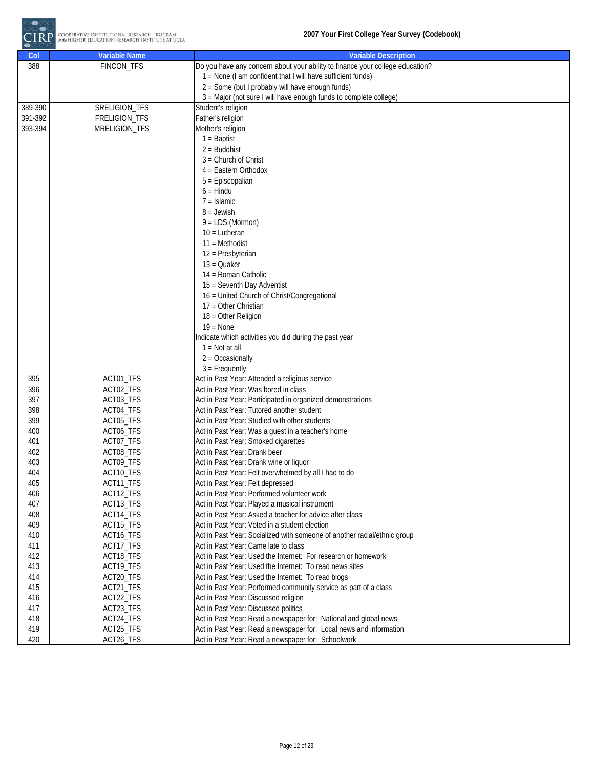

| Col     | <b>Variable Name</b>   | <b>Variable Description</b>                                                   |
|---------|------------------------|-------------------------------------------------------------------------------|
| 388     | <b>FINCON_TFS</b>      | Do you have any concern about your ability to finance your college education? |
|         |                        | 1 = None (I am confident that I will have sufficient funds)                   |
|         |                        | 2 = Some (but I probably will have enough funds)                              |
|         |                        | 3 = Major (not sure I will have enough funds to complete college)             |
| 389-390 | SRELIGION_TFS          | Student's religion                                                            |
| 391-392 | FRELIGION_TFS          | Father's religion                                                             |
| 393-394 | MRELIGION_TFS          | Mother's religion                                                             |
|         |                        | $1 =$ Baptist                                                                 |
|         |                        | $2 =$ Buddhist                                                                |
|         |                        | $3 =$ Church of Christ                                                        |
|         |                        | $4 =$ Eastern Orthodox                                                        |
|         |                        | 5 = Episcopalian                                                              |
|         |                        | $6 =$ Hindu                                                                   |
|         |                        | $7 =$ Islamic                                                                 |
|         |                        | $8 =$ Jewish                                                                  |
|         |                        | $9 = LDS (Mormon)$                                                            |
|         |                        | $10 = Lutheran$                                                               |
|         |                        | $11 = Methodist$                                                              |
|         |                        | 12 = Presbyterian                                                             |
|         |                        | $13 = Quaker$                                                                 |
|         |                        | 14 = Roman Catholic                                                           |
|         |                        | 15 = Seventh Day Adventist                                                    |
|         |                        | 16 = United Church of Christ/Congregational                                   |
|         |                        | 17 = Other Christian                                                          |
|         |                        | 18 = Other Religion                                                           |
|         |                        | $19 = \text{None}$                                                            |
|         |                        | Indicate which activities you did during the past year                        |
|         |                        | $1 = Not at all$                                                              |
|         |                        | $2 = Occasionally$                                                            |
| 395     |                        | $3 =$ Frequently<br>Act in Past Year: Attended a religious service            |
| 396     | ACT01_TFS<br>ACT02_TFS | Act in Past Year: Was bored in class                                          |
| 397     | ACT03_TFS              | Act in Past Year: Participated in organized demonstrations                    |
| 398     | ACT04_TFS              | Act in Past Year: Tutored another student                                     |
| 399     | ACT05_TFS              | Act in Past Year: Studied with other students                                 |
| 400     | ACT06_TFS              | Act in Past Year: Was a guest in a teacher's home                             |
| 401     | ACT07_TFS              | Act in Past Year: Smoked cigarettes                                           |
| 402     | ACT08_TFS              | Act in Past Year: Drank beer                                                  |
| 403     | ACT09_TFS              | Act in Past Year: Drank wine or liquor                                        |
| 404     | ACT10_TFS              | Act in Past Year: Felt overwhelmed by all I had to do                         |
| 405     | ACT11_TFS              | Act in Past Year: Felt depressed                                              |
| 406     | ACT12_TFS              | Act in Past Year: Performed volunteer work                                    |
| 407     | ACT13_TFS              | Act in Past Year: Played a musical instrument                                 |
| 408     | ACT14_TFS              | Act in Past Year: Asked a teacher for advice after class                      |
| 409     | ACT15_TFS              | Act in Past Year: Voted in a student election                                 |
| 410     | ACT16_TFS              | Act in Past Year: Socialized with someone of another racial/ethnic group      |
| 411     | ACT17_TFS              | Act in Past Year: Came late to class                                          |
| 412     | ACT18_TFS              | Act in Past Year: Used the Internet: For research or homework                 |
| 413     | ACT19_TFS              | Act in Past Year: Used the Internet: To read news sites                       |
| 414     | ACT20_TFS              | Act in Past Year: Used the Internet: To read blogs                            |
| 415     | ACT21_TFS              | Act in Past Year: Performed community service as part of a class              |
| 416     | ACT22_TFS              | Act in Past Year: Discussed religion                                          |
| 417     | ACT23_TFS              | Act in Past Year: Discussed politics                                          |
| 418     | ACT24_TFS              | Act in Past Year: Read a newspaper for: National and global news              |
| 419     | ACT25_TFS              | Act in Past Year: Read a newspaper for: Local news and information            |
| 420     | ACT26_TFS              | Act in Past Year: Read a newspaper for: Schoolwork                            |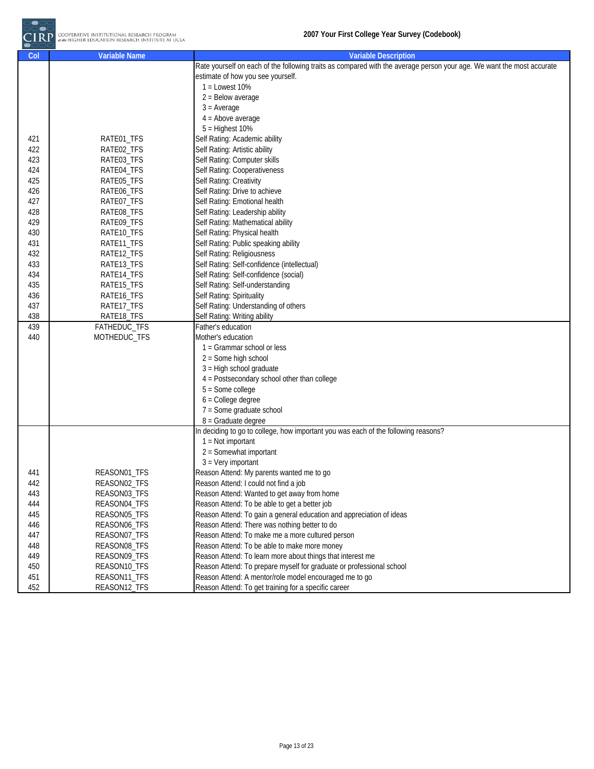

| Col | <b>Variable Name</b> | <b>Variable Description</b>                                                                                           |
|-----|----------------------|-----------------------------------------------------------------------------------------------------------------------|
|     |                      | Rate yourself on each of the following traits as compared with the average person your age. We want the most accurate |
|     |                      | estimate of how you see yourself.                                                                                     |
|     |                      | $1 =$ Lowest 10%                                                                                                      |
|     |                      | $2 =$ Below average                                                                                                   |
|     |                      | $3 = Average$                                                                                                         |
|     |                      | $4 =$ Above average                                                                                                   |
|     |                      | $5 =$ Highest 10%                                                                                                     |
| 421 | RATE01_TFS           | Self Rating: Academic ability                                                                                         |
| 422 | RATE02_TFS           | Self Rating: Artistic ability                                                                                         |
| 423 | RATE03_TFS           | Self Rating: Computer skills                                                                                          |
| 424 | RATE04_TFS           | Self Rating: Cooperativeness                                                                                          |
| 425 | RATE05_TFS           | Self Rating: Creativity                                                                                               |
| 426 | RATE06_TFS           | Self Rating: Drive to achieve                                                                                         |
| 427 | RATE07_TFS           | Self Rating: Emotional health                                                                                         |
| 428 | RATE08_TFS           | Self Rating: Leadership ability                                                                                       |
| 429 | RATE09_TFS           | Self Rating: Mathematical ability                                                                                     |
| 430 | RATE10_TFS           | Self Rating: Physical health                                                                                          |
| 431 | RATE11_TFS           | Self Rating: Public speaking ability                                                                                  |
| 432 | RATE12_TFS           | Self Rating: Religiousness                                                                                            |
| 433 | RATE13_TFS           | Self Rating: Self-confidence (intellectual)                                                                           |
| 434 | RATE14_TFS           | Self Rating: Self-confidence (social)                                                                                 |
| 435 | RATE15_TFS           | Self Rating: Self-understanding                                                                                       |
| 436 | RATE16_TFS           | Self Rating: Spirituality                                                                                             |
| 437 | RATE17_TFS           | Self Rating: Understanding of others                                                                                  |
| 438 | RATE18_TFS           | Self Rating: Writing ability                                                                                          |
| 439 | FATHEDUC_TFS         | Father's education                                                                                                    |
| 440 | MOTHEDUC_TFS         | Mother's education                                                                                                    |
|     |                      | 1 = Grammar school or less                                                                                            |
|     |                      | $2 =$ Some high school                                                                                                |
|     |                      | $3$ = High school graduate                                                                                            |
|     |                      | 4 = Postsecondary school other than college                                                                           |
|     |                      | $5 = Some college$                                                                                                    |
|     |                      | $6 =$ College degree                                                                                                  |
|     |                      | $7 =$ Some graduate school                                                                                            |
|     |                      | 8 = Graduate degree                                                                                                   |
|     |                      | In deciding to go to college, how important you was each of the following reasons?                                    |
|     |                      | $1 = Not important$                                                                                                   |
|     |                      | 2 = Somewhat important                                                                                                |
|     |                      | $3 = Very$ important                                                                                                  |
| 441 | REASON01_TFS         | Reason Attend: My parents wanted me to go                                                                             |
| 442 | REASON02_TFS         | Reason Attend: I could not find a job                                                                                 |
| 443 | REASON03_TFS         | Reason Attend: Wanted to get away from home                                                                           |
| 444 | REASON04_TFS         | Reason Attend: To be able to get a better job                                                                         |
| 445 | REASON05_TFS         | Reason Attend: To gain a general education and appreciation of ideas                                                  |
| 446 | REASON06_TFS         | Reason Attend: There was nothing better to do                                                                         |
| 447 | REASON07_TFS         | Reason Attend: To make me a more cultured person                                                                      |
| 448 | REASON08_TFS         | Reason Attend: To be able to make more money                                                                          |
| 449 | REASON09_TFS         | Reason Attend: To learn more about things that interest me                                                            |
| 450 | REASON10_TFS         | Reason Attend: To prepare myself for graduate or professional school                                                  |
| 451 | REASON11_TFS         | Reason Attend: A mentor/role model encouraged me to go                                                                |
| 452 | REASON12_TFS         | Reason Attend: To get training for a specific career                                                                  |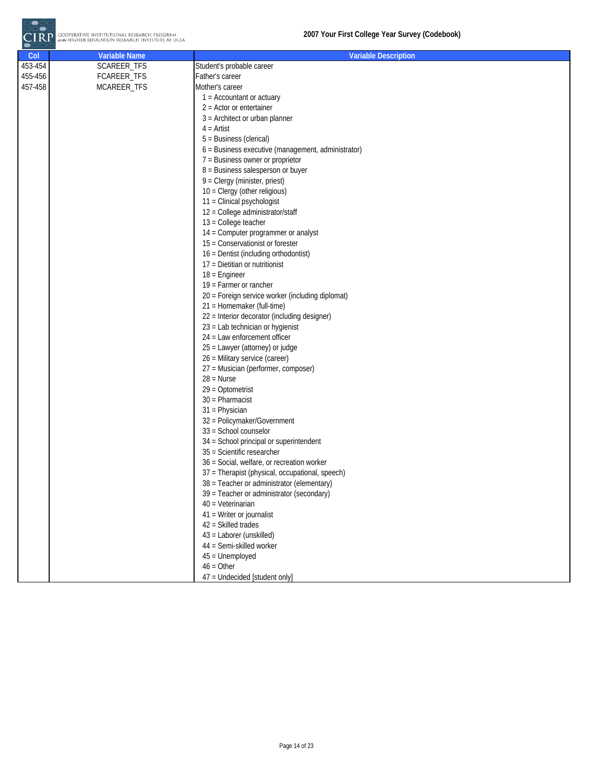| Col     | <b>Variable Name</b> | <b>Variable Description</b>                        |
|---------|----------------------|----------------------------------------------------|
| 453-454 | SCAREER_TFS          | Student's probable career                          |
| 455-456 | FCAREER_TFS          | Father's career                                    |
| 457-458 | MCAREER_TFS          | Mother's career                                    |
|         |                      | $1 =$ Accountant or actuary                        |
|         |                      | $2 =$ Actor or entertainer                         |
|         |                      | $3$ = Architect or urban planner                   |
|         |                      | $4 =$ Artist                                       |
|         |                      | 5 = Business (clerical)                            |
|         |                      | 6 = Business executive (management, administrator) |
|         |                      | 7 = Business owner or proprietor                   |
|         |                      | 8 = Business salesperson or buyer                  |
|         |                      | 9 = Clergy (minister, priest)                      |
|         |                      | 10 = Clergy (other religious)                      |
|         |                      | 11 = Clinical psychologist                         |
|         |                      | 12 = College administrator/staff                   |
|         |                      | 13 = College teacher                               |
|         |                      | 14 = Computer programmer or analyst                |
|         |                      | 15 = Conservationist or forester                   |
|         |                      | 16 = Dentist (including orthodontist)              |
|         |                      | 17 = Dietitian or nutritionist                     |
|         |                      | $18$ = Engineer                                    |
|         |                      | $19$ = Farmer or rancher                           |
|         |                      | 20 = Foreign service worker (including diplomat)   |
|         |                      | 21 = Homemaker (full-time)                         |
|         |                      | 22 = Interior decorator (including designer)       |
|         |                      | 23 = Lab technician or hygienist                   |
|         |                      | 24 = Law enforcement officer                       |
|         |                      | 25 = Lawyer (attorney) or judge                    |
|         |                      | 26 = Military service (career)                     |
|         |                      | 27 = Musician (performer, composer)                |
|         |                      | $28 = Nurse$                                       |
|         |                      | $29$ = Optometrist                                 |
|         |                      | $30$ = Pharmacist                                  |
|         |                      | 31 = Physician                                     |
|         |                      | 32 = Policymaker/Government                        |
|         |                      | 33 = School counselor                              |
|         |                      | 34 = School principal or superintendent            |
|         |                      | 35 = Scientific researcher                         |
|         |                      | 36 = Social, welfare, or recreation worker         |
|         |                      | 37 = Therapist (physical, occupational, speech)    |
|         |                      | 38 = Teacher or administrator (elementary)         |
|         |                      | 39 = Teacher or administrator (secondary)          |
|         |                      | 40 = Veterinarian                                  |
|         |                      | 41 = Writer or journalist<br>42 = Skilled trades   |
|         |                      | 43 = Laborer (unskilled)                           |
|         |                      | 44 = Semi-skilled worker                           |
|         |                      | 45 = Unemployed                                    |
|         |                      | $46 = Other$                                       |
|         |                      | 47 = Undecided [student only]                      |
|         |                      |                                                    |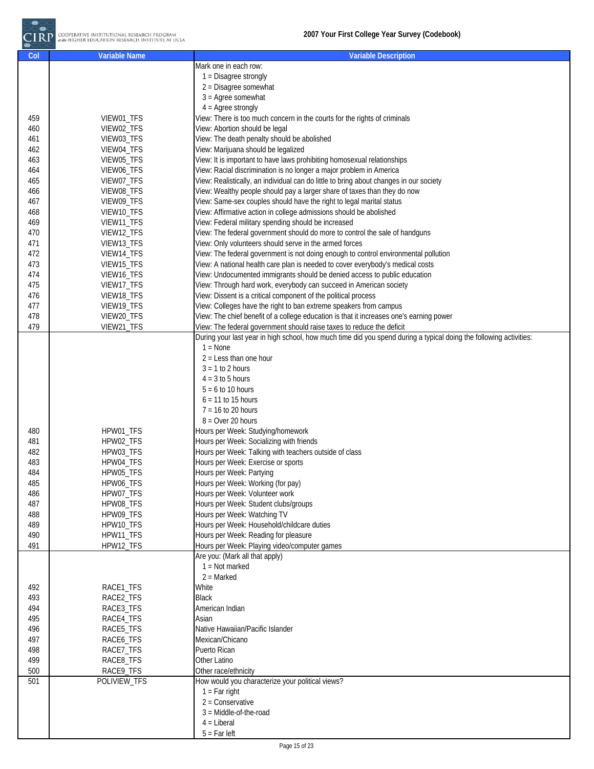| Col | <b>Variable Name</b> | <b>Variable Description</b>                                                                                        |
|-----|----------------------|--------------------------------------------------------------------------------------------------------------------|
|     |                      | Mark one in each row:                                                                                              |
|     |                      | 1 = Disagree strongly                                                                                              |
|     |                      | $2$ = Disagree somewhat                                                                                            |
|     |                      | $3 =$ Agree somewhat                                                                                               |
|     |                      |                                                                                                                    |
|     |                      | $4 = \text{Agree strongly}$                                                                                        |
| 459 | VIEW01_TFS           | View: There is too much concern in the courts for the rights of criminals                                          |
| 460 | VIEW02_TFS           | View: Abortion should be legal                                                                                     |
| 461 | VIEW03_TFS           | View: The death penalty should be abolished                                                                        |
| 462 | VIEW04_TFS           | View: Marijuana should be legalized                                                                                |
| 463 | VIEW05_TFS           | View: It is important to have laws prohibiting homosexual relationships                                            |
|     |                      |                                                                                                                    |
| 464 | VIEW06_TFS           | View: Racial discrimination is no longer a major problem in America                                                |
| 465 | VIEW07_TFS           | View: Realistically, an individual can do little to bring about changes in our society                             |
| 466 | VIEW08_TFS           | View: Wealthy people should pay a larger share of taxes than they do now                                           |
| 467 | VIEW09_TFS           | View: Same-sex couples should have the right to legal marital status                                               |
| 468 | VIEW10_TFS           | View: Affirmative action in college admissions should be abolished                                                 |
| 469 | VIEW11_TFS           | View: Federal military spending should be increased                                                                |
| 470 |                      | View: The federal government should do more to control the sale of handguns                                        |
|     | VIEW12_TFS           |                                                                                                                    |
| 471 | VIEW13_TFS           | View: Only volunteers should serve in the armed forces                                                             |
| 472 | VIEW14_TFS           | View: The federal government is not doing enough to control environmental pollution                                |
| 473 | VIEW15_TFS           | View: A national health care plan is needed to cover everybody's medical costs                                     |
| 474 | VIEW16_TFS           | View: Undocumented immigrants should be denied access to public education                                          |
| 475 | VIEW17_TFS           | View: Through hard work, everybody can succeed in American society                                                 |
| 476 | VIEW18_TFS           | View: Dissent is a critical component of the political process                                                     |
|     |                      | View: Colleges have the right to ban extreme speakers from campus                                                  |
| 477 | VIEW19_TFS           |                                                                                                                    |
| 478 | VIEW20_TFS           | View: The chief benefit of a college education is that it increases one's earning power                            |
| 479 | VIEW21_TFS           | View: The federal government should raise taxes to reduce the deficit                                              |
|     |                      | During your last year in high school, how much time did you spend during a typical doing the following activities: |
|     |                      | $1 = \text{None}$                                                                                                  |
|     |                      | $2 = Less than one hour$                                                                                           |
|     |                      | $3 = 1$ to 2 hours                                                                                                 |
|     |                      |                                                                                                                    |
|     |                      | $4 = 3$ to 5 hours                                                                                                 |
|     |                      | $5 = 6$ to 10 hours                                                                                                |
|     |                      | $6 = 11$ to 15 hours                                                                                               |
|     |                      | $7 = 16$ to 20 hours                                                                                               |
|     |                      | $8 =$ Over 20 hours                                                                                                |
| 480 | HPW01_TFS            | Hours per Week: Studying/homework                                                                                  |
| 481 | HPW02_TFS            | Hours per Week: Socializing with friends                                                                           |
|     |                      |                                                                                                                    |
| 482 | HPW03_TFS            | Hours per Week: Talking with teachers outside of class                                                             |
| 483 | HPW04_TFS            | Hours per Week: Exercise or sports                                                                                 |
| 484 | HPW05_TFS            | Hours per Week: Partying                                                                                           |
| 485 | HPW06_TFS            | Hours per Week: Working (for pay)                                                                                  |
| 486 | HPW07_TFS            | Hours per Week: Volunteer work                                                                                     |
| 487 | HPW08_TFS            | Hours per Week: Student clubs/groups                                                                               |
| 488 | HPW09_TFS            | Hours per Week: Watching TV                                                                                        |
|     |                      |                                                                                                                    |
| 489 | HPW10_TFS            | Hours per Week: Household/childcare duties                                                                         |
| 490 | HPW11_TFS            | Hours per Week: Reading for pleasure                                                                               |
| 491 | HPW12_TFS            | Hours per Week: Playing video/computer games                                                                       |
|     |                      | Are you: (Mark all that apply)                                                                                     |
|     |                      | $1 = Not marked$                                                                                                   |
|     |                      | $2 =$ Marked                                                                                                       |
| 492 | RACE1_TFS            | White                                                                                                              |
|     |                      |                                                                                                                    |
| 493 | RACE2_TFS            | <b>Black</b>                                                                                                       |
| 494 | RACE3_TFS            | American Indian                                                                                                    |
| 495 | RACE4_TFS            | Asian                                                                                                              |
| 496 | RACE5_TFS            | Native Hawaiian/Pacific Islander                                                                                   |
| 497 | RACE6_TFS            | Mexican/Chicano                                                                                                    |
| 498 | RACE7_TFS            | Puerto Rican                                                                                                       |
| 499 | RACE8_TFS            | Other Latino                                                                                                       |
|     |                      |                                                                                                                    |
| 500 | RACE9_TFS            | Other race/ethnicity                                                                                               |
| 501 | POLIVIEW_TFS         | How would you characterize your political views?                                                                   |
|     |                      | $1 = Far right$                                                                                                    |
|     |                      | $2 =$ Conservative                                                                                                 |
|     |                      | $3 = Middle-of-theroad$                                                                                            |
|     |                      | $4 =$ Liberal                                                                                                      |
|     |                      | $5 = Far left$                                                                                                     |
|     |                      |                                                                                                                    |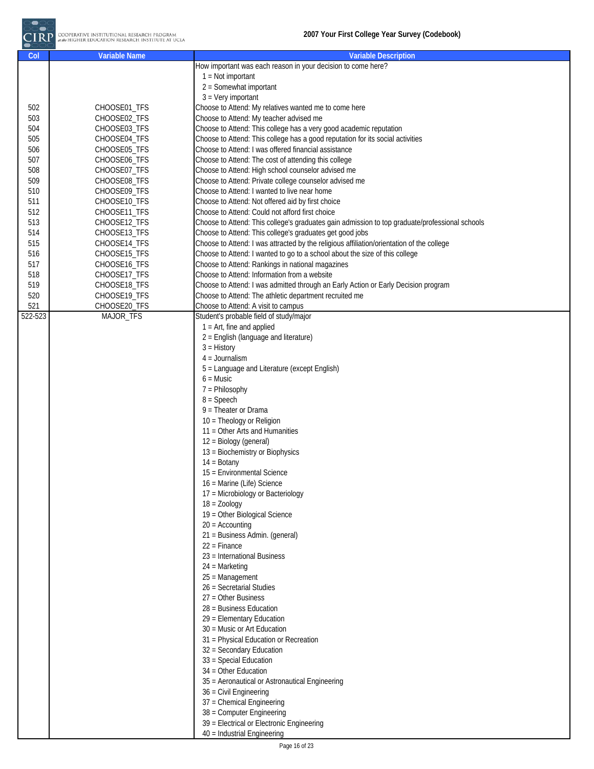

| Col     | <b>Variable Name</b> | <b>Variable Description</b>                                                                    |
|---------|----------------------|------------------------------------------------------------------------------------------------|
|         |                      | How important was each reason in your decision to come here?                                   |
|         |                      | $1 = Not important$                                                                            |
|         |                      | 2 = Somewhat important                                                                         |
|         |                      | $3 = Very$ important                                                                           |
| 502     | CHOOSE01_TFS         | Choose to Attend: My relatives wanted me to come here                                          |
| 503     | CHOOSE02_TFS         | Choose to Attend: My teacher advised me                                                        |
| 504     | CHOOSE03_TFS         | Choose to Attend: This college has a very good academic reputation                             |
| 505     | CHOOSE04_TFS         | Choose to Attend: This college has a good reputation for its social activities                 |
| 506     | CHOOSE05_TFS         | Choose to Attend: I was offered financial assistance                                           |
| 507     | CHOOSE06_TFS         | Choose to Attend: The cost of attending this college                                           |
| 508     | CHOOSE07_TFS         | Choose to Attend: High school counselor advised me                                             |
| 509     | CHOOSE08_TFS         | Choose to Attend: Private college counselor advised me                                         |
| 510     | CHOOSE09 TFS         | Choose to Attend: I wanted to live near home                                                   |
| 511     | CHOOSE10_TFS         | Choose to Attend: Not offered aid by first choice                                              |
| 512     | CHOOSE11_TFS         | Choose to Attend: Could not afford first choice                                                |
| 513     | CHOOSE12_TFS         | Choose to Attend: This college's graduates gain admission to top graduate/professional schools |
| 514     | CHOOSE13_TFS         | Choose to Attend: This college's graduates get good jobs                                       |
| 515     | CHOOSE14_TFS         | Choose to Attend: I was attracted by the religious affiliation/orientation of the college      |
| 516     | CHOOSE15_TFS         | Choose to Attend: I wanted to go to a school about the size of this college                    |
| 517     | CHOOSE16_TFS         | Choose to Attend: Rankings in national magazines                                               |
| 518     | CHOOSE17_TFS         | Choose to Attend: Information from a website                                                   |
| 519     | CHOOSE18_TFS         | Choose to Attend: I was admitted through an Early Action or Early Decision program             |
| 520     | CHOOSE19_TFS         | Choose to Attend: The athletic department recruited me                                         |
| 521     | CHOOSE20_TFS         | Choose to Attend: A visit to campus                                                            |
| 522-523 | MAJOR_TFS            | Student's probable field of study/major                                                        |
|         |                      | $1 = Art$ , fine and applied                                                                   |
|         |                      | 2 = English (language and literature)                                                          |
|         |                      | $3 = History$                                                                                  |
|         |                      | $4 =$ Journalism                                                                               |
|         |                      | 5 = Language and Literature (except English)                                                   |
|         |                      | $6 =$ Music                                                                                    |
|         |                      | $7 =$ Philosophy                                                                               |
|         |                      | $8 =$ Speech                                                                                   |
|         |                      | $9$ = Theater or Drama                                                                         |
|         |                      | 10 = Theology or Religion                                                                      |
|         |                      | 11 = Other Arts and Humanities                                                                 |
|         |                      | 12 = Biology (general)                                                                         |
|         |                      | 13 = Biochemistry or Biophysics                                                                |
|         |                      | $14 = Botany$                                                                                  |
|         |                      | 15 = Environmental Science                                                                     |
|         |                      | 16 = Marine (Life) Science                                                                     |
|         |                      | 17 = Microbiology or Bacteriology                                                              |
|         |                      | $18 = Zoology$                                                                                 |
|         |                      | 19 = Other Biological Science                                                                  |
|         |                      | $20 =$ Accounting                                                                              |
|         |                      | 21 = Business Admin. (general)                                                                 |
|         |                      | $22 =$ Finance                                                                                 |
|         |                      | 23 = International Business                                                                    |
|         |                      | $24$ = Marketing                                                                               |
|         |                      | $25 =$ Management                                                                              |
|         |                      | 26 = Secretarial Studies                                                                       |
|         |                      | $27 =$ Other Business                                                                          |
|         |                      | 28 = Business Education                                                                        |
|         |                      | 29 = Elementary Education                                                                      |
|         |                      | 30 = Music or Art Education                                                                    |
|         |                      | 31 = Physical Education or Recreation                                                          |
|         |                      | 32 = Secondary Education                                                                       |
|         |                      | 33 = Special Education                                                                         |
|         |                      | 34 = Other Education                                                                           |
|         |                      | 35 = Aeronautical or Astronautical Engineering                                                 |
|         |                      | 36 = Civil Engineering                                                                         |
|         |                      | 37 = Chemical Engineering                                                                      |
|         |                      | 38 = Computer Engineering                                                                      |
|         |                      | 39 = Electrical or Electronic Engineering                                                      |
|         |                      | 40 = Industrial Engineering                                                                    |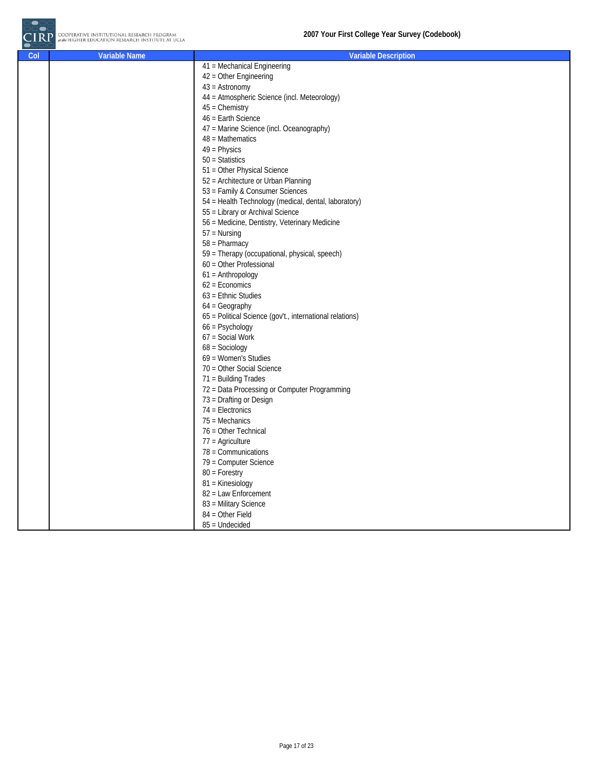| Col | <b>Variable Name</b> | <b>Variable Description</b>                              |
|-----|----------------------|----------------------------------------------------------|
|     |                      | 41 = Mechanical Engineering                              |
|     |                      | 42 = Other Engineering                                   |
|     |                      | $43 =$ Astronomy                                         |
|     |                      | 44 = Atmospheric Science (incl. Meteorology)             |
|     |                      | $45$ = Chemistry                                         |
|     |                      | 46 = Earth Science                                       |
|     |                      | 47 = Marine Science (incl. Oceanography)                 |
|     |                      | $48$ = Mathematics                                       |
|     |                      | $49$ = Physics                                           |
|     |                      | $50 = Statistics$                                        |
|     |                      | 51 = Other Physical Science                              |
|     |                      | 52 = Architecture or Urban Planning                      |
|     |                      | 53 = Family & Consumer Sciences                          |
|     |                      | 54 = Health Technology (medical, dental, laboratory)     |
|     |                      | 55 = Library or Archival Science                         |
|     |                      | 56 = Medicine, Dentistry, Veterinary Medicine            |
|     |                      | $57 =$ Nursing                                           |
|     |                      | $58 =$ Pharmacy                                          |
|     |                      | 59 = Therapy (occupational, physical, speech)            |
|     |                      | 60 = Other Professional                                  |
|     |                      | $61 =$ Anthropology                                      |
|     |                      | $62$ = Economics                                         |
|     |                      | $63$ = Ethnic Studies                                    |
|     |                      | $64$ = Geography                                         |
|     |                      | 65 = Political Science (gov't., international relations) |
|     |                      | $66 =$ Psychology                                        |
|     |                      | 67 = Social Work                                         |
|     |                      | $68 =$ Sociology                                         |
|     |                      | 69 = Women's Studies                                     |
|     |                      | 70 = Other Social Science                                |
|     |                      | 71 = Building Trades                                     |
|     |                      | 72 = Data Processing or Computer Programming             |
|     |                      | 73 = Drafting or Design                                  |
|     |                      | $74$ = Electronics                                       |
|     |                      | $75$ = Mechanics                                         |
|     |                      | 76 = Other Technical                                     |
|     |                      | $77$ = Agriculture                                       |
|     |                      | $78 =$ Communications                                    |
|     |                      | 79 = Computer Science                                    |
|     |                      | $80 =$ Forestry                                          |
|     |                      | 81 = Kinesiology                                         |
|     |                      | 82 = Law Enforcement                                     |
|     |                      | 83 = Military Science                                    |
|     |                      | 84 = Other Field                                         |
|     |                      | $85$ = Undecided                                         |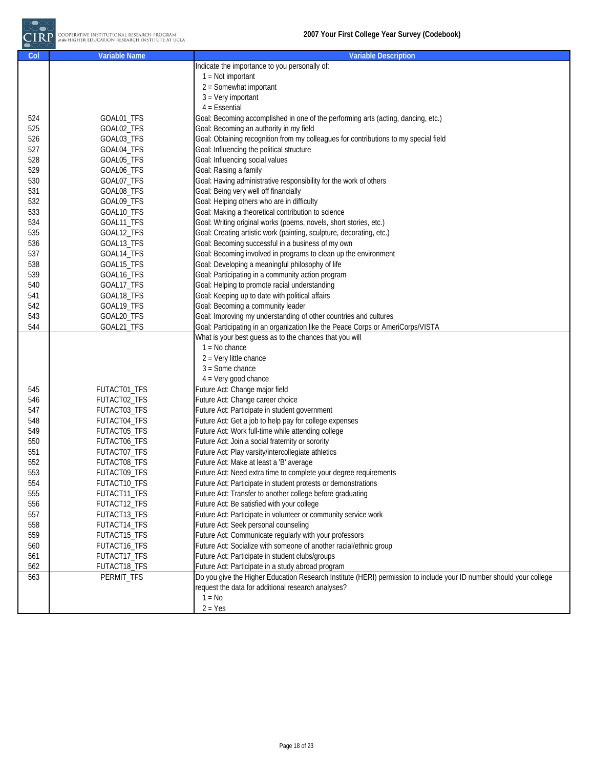| Col | <b>Variable Name</b> | <b>Variable Description</b>                                                                                         |
|-----|----------------------|---------------------------------------------------------------------------------------------------------------------|
|     |                      | Indicate the importance to you personally of:                                                                       |
|     |                      | $1 = Not important$                                                                                                 |
|     |                      | $2 =$ Somewhat important                                                                                            |
|     |                      | $3 = Very$ important                                                                                                |
|     |                      | $4$ = Essential                                                                                                     |
| 524 | GOAL01_TFS           | Goal: Becoming accomplished in one of the performing arts (acting, dancing, etc.)                                   |
| 525 | GOAL02_TFS           | Goal: Becoming an authority in my field                                                                             |
| 526 | GOAL03_TFS           | Goal: Obtaining recognition from my colleagues for contributions to my special field                                |
| 527 | GOAL04_TFS           | Goal: Influencing the political structure                                                                           |
| 528 | GOAL05_TFS           | Goal: Influencing social values                                                                                     |
| 529 | GOAL06 TFS           | Goal: Raising a family                                                                                              |
| 530 | GOAL07_TFS           | Goal: Having administrative responsibility for the work of others                                                   |
| 531 | GOAL08_TFS           | Goal: Being very well off financially                                                                               |
| 532 | GOAL09_TFS           | Goal: Helping others who are in difficulty                                                                          |
| 533 | GOAL10_TFS           | Goal: Making a theoretical contribution to science                                                                  |
| 534 | GOAL11_TFS           | Goal: Writing original works (poems, novels, short stories, etc.)                                                   |
| 535 | GOAL12_TFS           | Goal: Creating artistic work (painting, sculpture, decorating, etc.)                                                |
| 536 |                      | Goal: Becoming successful in a business of my own                                                                   |
|     | GOAL13_TFS           |                                                                                                                     |
| 537 | GOAL14_TFS           | Goal: Becoming involved in programs to clean up the environment                                                     |
| 538 | GOAL15_TFS           | Goal: Developing a meaningful philosophy of life                                                                    |
| 539 | GOAL16_TFS           | Goal: Participating in a community action program                                                                   |
| 540 | GOAL17_TFS           | Goal: Helping to promote racial understanding                                                                       |
| 541 | GOAL18_TFS           | Goal: Keeping up to date with political affairs                                                                     |
| 542 | GOAL19_TFS           | Goal: Becoming a community leader                                                                                   |
| 543 | GOAL20_TFS           | Goal: Improving my understanding of other countries and cultures                                                    |
| 544 | GOAL21_TFS           | Goal: Participating in an organization like the Peace Corps or AmeriCorps/VISTA                                     |
|     |                      | What is your best guess as to the chances that you will                                                             |
|     |                      | $1 = No chance$                                                                                                     |
|     |                      | $2$ = Very little chance                                                                                            |
|     |                      | $3 =$ Some chance                                                                                                   |
|     |                      | $4 = Very good chance$                                                                                              |
| 545 | FUTACT01_TFS         | Future Act: Change major field                                                                                      |
| 546 | FUTACT02_TFS         | Future Act: Change career choice                                                                                    |
| 547 | FUTACT03_TFS         | Future Act: Participate in student government                                                                       |
| 548 | FUTACT04_TFS         | Future Act: Get a job to help pay for college expenses                                                              |
| 549 | FUTACT05_TFS         | Future Act: Work full-time while attending college                                                                  |
| 550 | FUTACT06_TFS         | Future Act: Join a social fraternity or sorority                                                                    |
| 551 | FUTACT07_TFS         | Future Act: Play varsity/intercollegiate athletics                                                                  |
| 552 | FUTACT08_TFS         | Future Act: Make at least a 'B' average                                                                             |
| 553 | FUTACT09_TFS         | Future Act: Need extra time to complete your degree requirements                                                    |
| 554 | FUTACT10_TFS         | Future Act: Participate in student protests or demonstrations                                                       |
| 555 | FUTACT11_TFS         | Future Act: Transfer to another college before graduating                                                           |
| 556 | FUTACT12_TFS         | Future Act: Be satisfied with your college                                                                          |
| 557 | FUTACT13_TFS         | Future Act: Participate in volunteer or community service work                                                      |
| 558 | FUTACT14_TFS         | Future Act: Seek personal counseling                                                                                |
| 559 | FUTACT15_TFS         | Future Act: Communicate regularly with your professors                                                              |
| 560 | FUTACT16_TFS         | Future Act: Socialize with someone of another racial/ethnic group                                                   |
| 561 | FUTACT17_TFS         | Future Act: Participate in student clubs/groups                                                                     |
| 562 | FUTACT18_TFS         | Future Act: Participate in a study abroad program                                                                   |
| 563 | PERMIT_TFS           | Do you give the Higher Education Research Institute (HERI) permission to include your ID number should your college |
|     |                      | request the data for additional research analyses?                                                                  |
|     |                      | $1 = No$                                                                                                            |
|     |                      | $2 = Yes$                                                                                                           |
|     |                      |                                                                                                                     |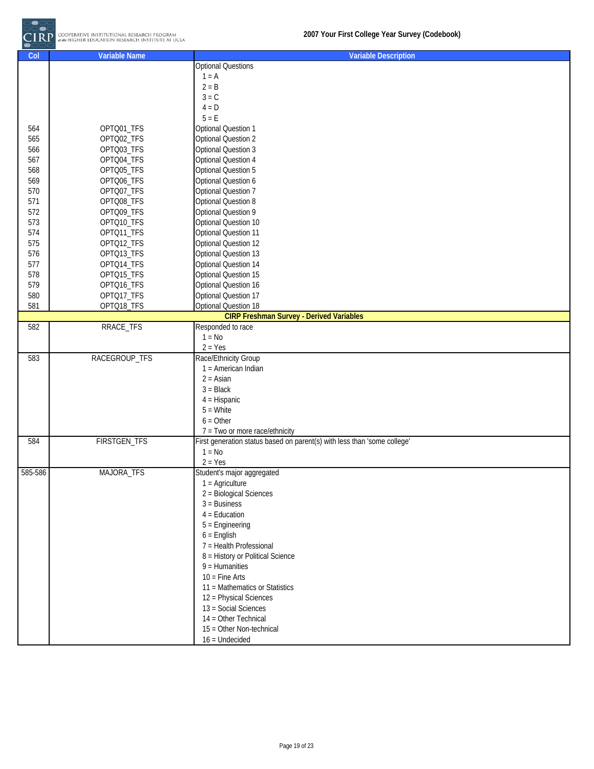

| Col     | <b>Variable Name</b> | <b>Variable Description</b>                                              |
|---------|----------------------|--------------------------------------------------------------------------|
|         |                      | <b>Optional Questions</b>                                                |
|         |                      | $1 = A$                                                                  |
|         |                      | $2 = B$                                                                  |
|         |                      | $3 = C$                                                                  |
|         |                      | $4 = D$                                                                  |
|         |                      | $5 = E$                                                                  |
| 564     | OPTQ01_TFS           | <b>Optional Question 1</b>                                               |
| 565     | OPTQ02_TFS           | <b>Optional Question 2</b>                                               |
| 566     | OPTQ03_TFS           | <b>Optional Question 3</b>                                               |
| 567     | OPTQ04_TFS           | <b>Optional Question 4</b>                                               |
| 568     | OPTQ05_TFS           | Optional Question 5                                                      |
| 569     | OPTQ06_TFS           | Optional Question 6                                                      |
| 570     | OPTQ07_TFS           | <b>Optional Question 7</b>                                               |
| 571     | OPTQ08_TFS           | <b>Optional Question 8</b>                                               |
| 572     | OPTQ09_TFS           | Optional Question 9                                                      |
| 573     | OPTQ10_TFS           | Optional Question 10                                                     |
| 574     | OPTQ11_TFS           | <b>Optional Question 11</b>                                              |
| 575     | OPTQ12_TFS           | Optional Question 12                                                     |
| 576     | OPTQ13_TFS           | Optional Question 13                                                     |
| 577     | OPTQ14_TFS           | Optional Question 14                                                     |
| 578     | OPTQ15_TFS           | Optional Question 15                                                     |
| 579     | OPTQ16_TFS           | Optional Question 16                                                     |
| 580     | OPTQ17_TFS           | <b>Optional Question 17</b>                                              |
| 581     | OPTQ18_TFS           | Optional Question 18                                                     |
|         |                      | <b>CIRP Freshman Survey - Derived Variables</b>                          |
| 582     | RRACE_TFS            | Responded to race                                                        |
|         |                      | $1 = No$                                                                 |
|         |                      | $2 = Yes$                                                                |
| 583     | RACEGROUP_TFS        | Race/Ethnicity Group                                                     |
|         |                      | 1 = American Indian                                                      |
|         |                      | $2 = Asian$                                                              |
|         |                      | $3 = Black$                                                              |
|         |                      | $4 = Hispanic$                                                           |
|         |                      | $5 =$ White                                                              |
|         |                      | $6 = Other$                                                              |
|         |                      | 7 = Two or more race/ethnicity                                           |
| 584     | <b>FIRSTGEN_TFS</b>  | First generation status based on parent(s) with less than 'some college' |
|         |                      | $1 = No$                                                                 |
|         |                      | $2 = Yes$                                                                |
| 585-586 | MAJORA_TFS           | Student's major aggregated                                               |
|         |                      | $1 =$ Agriculture                                                        |
|         |                      | 2 = Biological Sciences                                                  |
|         |                      | $3$ = Business                                                           |
|         |                      | $4 =$ Education                                                          |
|         |                      |                                                                          |
|         |                      | $5 =$ Engineering                                                        |
|         |                      | $6$ = English                                                            |
|         |                      | 7 = Health Professional                                                  |
|         |                      | 8 = History or Political Science                                         |
|         |                      | $9$ = Humanities                                                         |
|         |                      | $10$ = Fine Arts                                                         |
|         |                      | 11 = Mathematics or Statistics                                           |
|         |                      | 12 = Physical Sciences                                                   |
|         |                      | 13 = Social Sciences                                                     |
|         |                      | 14 = Other Technical                                                     |
|         |                      | 15 = Other Non-technical                                                 |
|         |                      | $16$ = Undecided                                                         |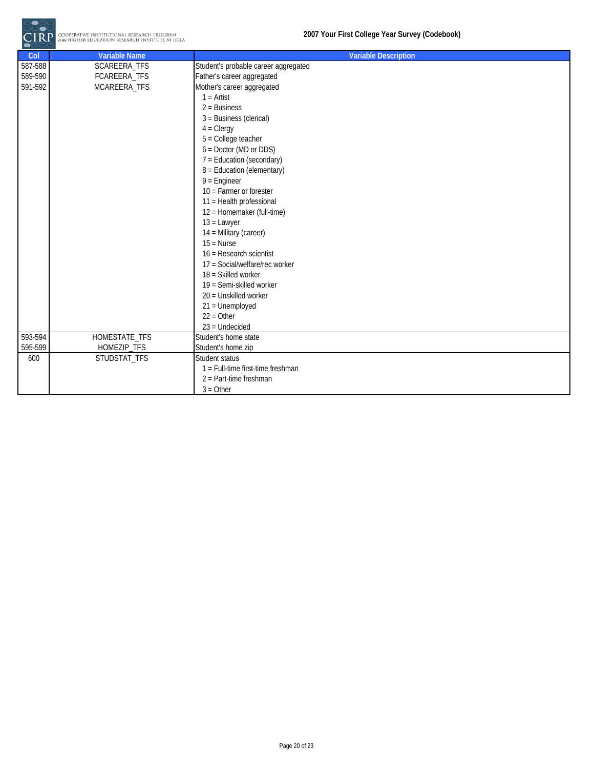|                               | COOPERATIVE INSTITUTIONAL RESEARCH PROGRAM<br>at the HIGHER EDUCATION RESEARCH INSTITUTE AT UCLA | 2007 Your First College Year Survey (Codebook)                                                                                                                                                                                                                                                                                                                                                                                                                                                                                                                                                                                                      |
|-------------------------------|--------------------------------------------------------------------------------------------------|-----------------------------------------------------------------------------------------------------------------------------------------------------------------------------------------------------------------------------------------------------------------------------------------------------------------------------------------------------------------------------------------------------------------------------------------------------------------------------------------------------------------------------------------------------------------------------------------------------------------------------------------------------|
| Col                           | <b>Variable Name</b>                                                                             | <b>Variable Description</b>                                                                                                                                                                                                                                                                                                                                                                                                                                                                                                                                                                                                                         |
| 587-588<br>589-590<br>591-592 | SCAREERA_TFS<br>FCAREERA_TFS<br>MCAREERA_TFS                                                     | Student's probable career aggregated<br>Father's career aggregated<br>Mother's career aggregated<br>$1 =$ Artist<br>$2 = Business$<br>3 = Business (clerical)<br>$4 = C \leq C$<br>$5 =$ College teacher<br>$6 = Doctor (MD or DDS)$<br>$7 =$ Education (secondary)<br>8 = Education (elementary)<br>$9$ = Engineer<br>$10 =$ Farmer or forester<br>11 = Health professional<br>12 = Homemaker (full-time)<br>$13 =$ Lawyer<br>14 = Military (career)<br>$15 = Nurse$<br>16 = Research scientist<br>17 = Social/welfare/rec worker<br>18 = Skilled worker<br>19 = Semi-skilled worker<br>20 = Unskilled worker<br>$21 =$ Unemployed<br>$22 = Other$ |
|                               |                                                                                                  | $23$ = Undecided                                                                                                                                                                                                                                                                                                                                                                                                                                                                                                                                                                                                                                    |
| 593-594                       | HOMESTATE_TFS                                                                                    | Student's home state                                                                                                                                                                                                                                                                                                                                                                                                                                                                                                                                                                                                                                |
| 595-599                       | HOMEZIP_TFS                                                                                      | Student's home zip                                                                                                                                                                                                                                                                                                                                                                                                                                                                                                                                                                                                                                  |
| 600                           | STUDSTAT_TFS                                                                                     | Student status<br>1 = Full-time first-time freshman<br>$2$ = Part-time freshman<br>$3 = Other$                                                                                                                                                                                                                                                                                                                                                                                                                                                                                                                                                      |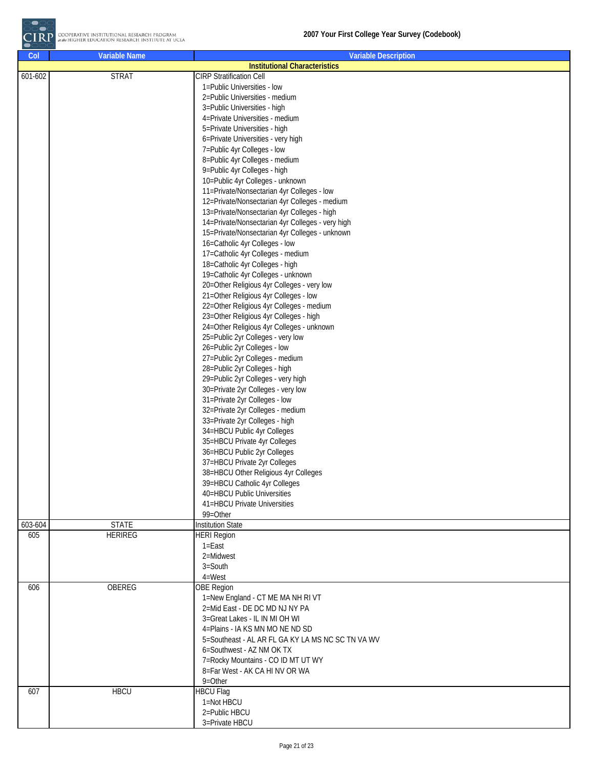| Col         | <b>Variable Name</b> | <b>Variable Description</b>                                   |
|-------------|----------------------|---------------------------------------------------------------|
|             |                      | <b>Institutional Characteristics</b>                          |
| $601 - 602$ | <b>STRAT</b>         | <b>CIRP Stratification Cell</b>                               |
|             |                      | 1=Public Universities - low                                   |
|             |                      | 2=Public Universities - medium                                |
|             |                      | 3=Public Universities - high                                  |
|             |                      | 4=Private Universities - medium                               |
|             |                      | 5=Private Universities - high                                 |
|             |                      | 6=Private Universities - very high                            |
|             |                      | 7=Public 4yr Colleges - low<br>8=Public 4yr Colleges - medium |
|             |                      | 9=Public 4yr Colleges - high                                  |
|             |                      | 10=Public 4yr Colleges - unknown                              |
|             |                      | 11=Private/Nonsectarian 4yr Colleges - low                    |
|             |                      | 12=Private/Nonsectarian 4yr Colleges - medium                 |
|             |                      | 13=Private/Nonsectarian 4yr Colleges - high                   |
|             |                      | 14=Private/Nonsectarian 4yr Colleges - very high              |
|             |                      | 15=Private/Nonsectarian 4yr Colleges - unknown                |
|             |                      | 16=Catholic 4yr Colleges - low                                |
|             |                      | 17=Catholic 4yr Colleges - medium                             |
|             |                      | 18=Catholic 4yr Colleges - high                               |
|             |                      | 19=Catholic 4yr Colleges - unknown                            |
|             |                      | 20=Other Religious 4yr Colleges - very low                    |
|             |                      | 21=Other Religious 4yr Colleges - low                         |
|             |                      | 22=Other Religious 4yr Colleges - medium                      |
|             |                      | 23=Other Religious 4yr Colleges - high                        |
|             |                      | 24=Other Religious 4yr Colleges - unknown                     |
|             |                      | 25=Public 2yr Colleges - very low                             |
|             |                      | 26=Public 2yr Colleges - low                                  |
|             |                      | 27=Public 2yr Colleges - medium                               |
|             |                      | 28=Public 2yr Colleges - high                                 |
|             |                      | 29=Public 2yr Colleges - very high                            |
|             |                      | 30=Private 2yr Colleges - very low                            |
|             |                      | 31=Private 2yr Colleges - low                                 |
|             |                      | 32=Private 2yr Colleges - medium                              |
|             |                      | 33=Private 2yr Colleges - high                                |
|             |                      | 34=HBCU Public 4yr Colleges                                   |
|             |                      | 35=HBCU Private 4yr Colleges                                  |
|             |                      | 36=HBCU Public 2yr Colleges                                   |
|             |                      | 37=HBCU Private 2yr Colleges                                  |
|             |                      | 38=HBCU Other Religious 4yr Colleges                          |
|             |                      | 39=HBCU Catholic 4yr Colleges                                 |
|             |                      | 40=HBCU Public Universities                                   |
|             |                      | 41=HBCU Private Universities                                  |
|             |                      | 99=Other                                                      |
| 603-604     | <b>STATE</b>         | <b>Institution State</b>                                      |
| 605         | <b>HERIREG</b>       | <b>HERI Region</b>                                            |
|             |                      | $1 = East$                                                    |
|             |                      | 2=Midwest                                                     |
|             |                      | $3 =$ South                                                   |
|             |                      | $4 = West$                                                    |
| 606         | <b>OBEREG</b>        | <b>OBE</b> Region                                             |
|             |                      | 1=New England - CT ME MA NH RI VT                             |
|             |                      | 2=Mid East - DE DC MD NJ NY PA                                |
|             |                      | 3=Great Lakes - IL IN MI OH WI                                |
|             |                      | 4=Plains - IA KS MN MO NE ND SD                               |
|             |                      | 5=Southeast - AL AR FL GA KY LA MS NC SC TN VA WV             |
|             |                      | 6=Southwest - AZ NM OK TX                                     |
|             |                      | 7=Rocky Mountains - CO ID MT UT WY                            |
|             |                      | 8=Far West - AK CA HI NV OR WA                                |
|             |                      | $9 = Other$                                                   |
| 607         | <b>HBCU</b>          | <b>HBCU Flag</b>                                              |
|             |                      | 1=Not HBCU                                                    |
|             |                      | 2=Public HBCU                                                 |
|             |                      | 3=Private HBCU                                                |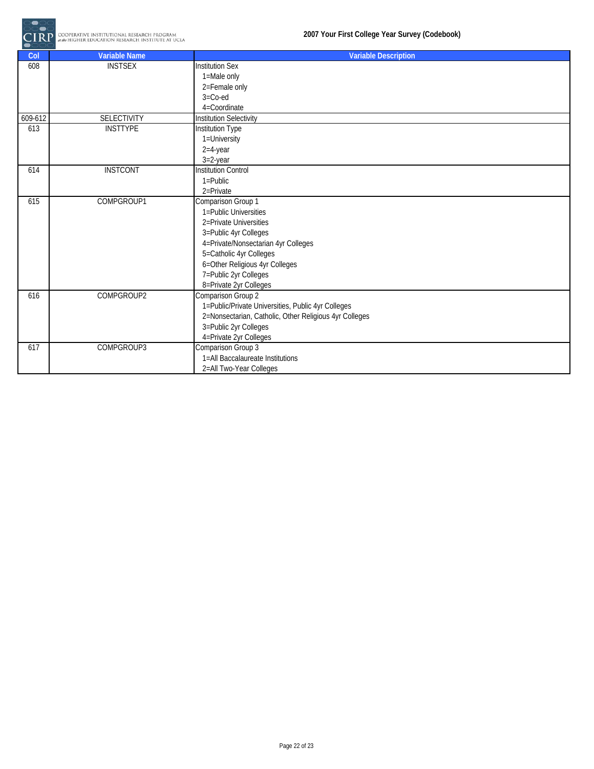

| Col     | <b>Variable Name</b> | <b>Variable Description</b>                                                     |
|---------|----------------------|---------------------------------------------------------------------------------|
| 608     | <b>INSTSEX</b>       | <b>Institution Sex</b>                                                          |
|         |                      | 1=Male only                                                                     |
|         |                      | 2=Female only                                                                   |
|         |                      | $3 = Co$ -ed                                                                    |
|         |                      | 4=Coordinate                                                                    |
| 609-612 | <b>SELECTIVITY</b>   | <b>Institution Selectivity</b>                                                  |
| 613     | <b>INSTTYPE</b>      | Institution Type                                                                |
|         |                      | 1=University                                                                    |
|         |                      | $2=4$ -year                                                                     |
|         |                      | $3=2$ -year                                                                     |
| 614     | <b>INSTCONT</b>      | <b>Institution Control</b>                                                      |
|         |                      | $1 =$ Public                                                                    |
|         |                      | 2=Private                                                                       |
| 615     | COMPGROUP1           | Comparison Group 1                                                              |
|         |                      | 1=Public Universities                                                           |
|         |                      | 2=Private Universities                                                          |
|         |                      | 3=Public 4yr Colleges                                                           |
|         |                      | 4=Private/Nonsectarian 4yr Colleges                                             |
|         |                      | 5=Catholic 4yr Colleges                                                         |
|         |                      | 6=Other Religious 4yr Colleges                                                  |
|         |                      | 7=Public 2yr Colleges                                                           |
|         |                      | 8=Private 2yr Colleges                                                          |
| 616     | COMPGROUP2           | Comparison Group 2                                                              |
|         |                      | 1=Public/Private Universities, Public 4yr Colleges                              |
|         |                      | 2=Nonsectarian, Catholic, Other Religious 4yr Colleges<br>3=Public 2yr Colleges |
|         |                      |                                                                                 |
| 617     | COMPGROUP3           | 4=Private 2yr Colleges<br>Comparison Group 3                                    |
|         |                      | 1=All Baccalaureate Institutions                                                |
|         |                      |                                                                                 |
|         |                      | 2=All Two-Year Colleges                                                         |